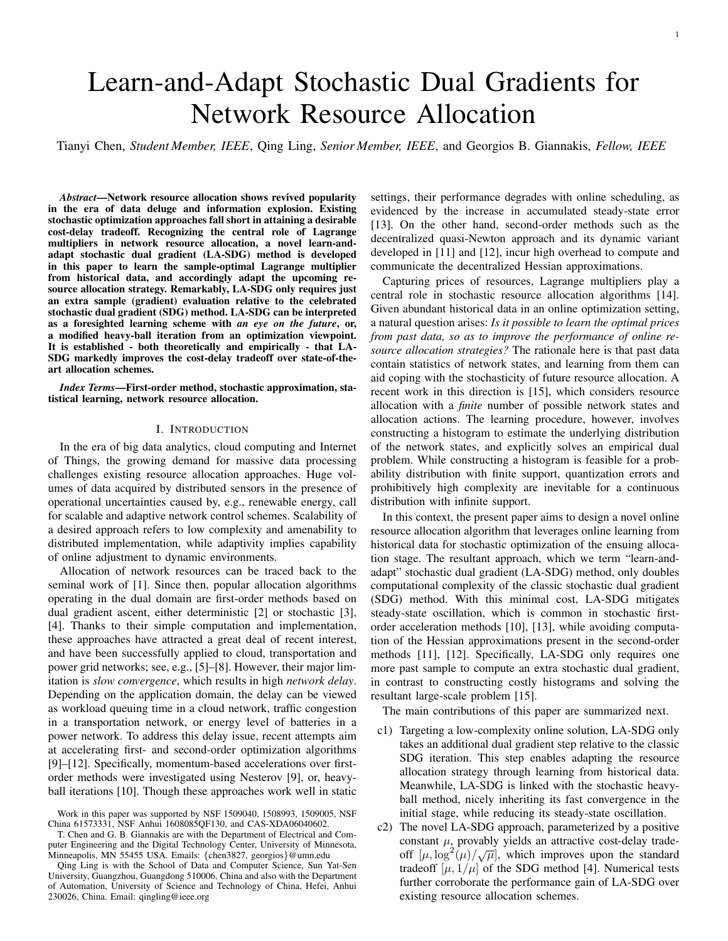# Learn-and-Adapt Stochastic Dual Gradients for Network Resource Allocation

Tianyi Chen, *Student Member, IEEE*, Qing Ling, *Senior Member, IEEE*, and Georgios B. Giannakis, *Fellow, IEEE*

*Abstract*—Network resource allocation shows revived popularity in the era of data deluge and information explosion. Existing stochastic optimization approaches fall short in attaining a desirable cost-delay tradeoff. Recognizing the central role of Lagrange multipliers in network resource allocation, a novel learn-andadapt stochastic dual gradient (LA-SDG) method is developed in this paper to learn the sample-optimal Lagrange multiplier from historical data, and accordingly adapt the upcoming resource allocation strategy. Remarkably, LA-SDG only requires just an extra sample (gradient) evaluation relative to the celebrated stochastic dual gradient (SDG) method. LA-SDG can be interpreted as a foresighted learning scheme with *an eye on the future*, or, a modified heavy-ball iteration from an optimization viewpoint. It is established - both theoretically and empirically - that LA-SDG markedly improves the cost-delay tradeoff over state-of-theart allocation schemes.

*Index Terms*—First-order method, stochastic approximation, statistical learning, network resource allocation.

# I. INTRODUCTION

In the era of big data analytics, cloud computing and Internet of Things, the growing demand for massive data processing challenges existing resource allocation approaches. Huge volumes of data acquired by distributed sensors in the presence of operational uncertainties caused by, e.g., renewable energy, call for scalable and adaptive network control schemes. Scalability of a desired approach refers to low complexity and amenability to distributed implementation, while adaptivity implies capability of online adjustment to dynamic environments.

Allocation of network resources can be traced back to the seminal work of [1]. Since then, popular allocation algorithms operating in the dual domain are first-order methods based on dual gradient ascent, either deterministic [2] or stochastic [3], [4]. Thanks to their simple computation and implementation, these approaches have attracted a great deal of recent interest, and have been successfully applied to cloud, transportation and power grid networks; see, e.g., [5]–[8]. However, their major limitation is *slow convergence*, which results in high *network delay*. Depending on the application domain, the delay can be viewed as workload queuing time in a cloud network, traffic congestion in a transportation network, or energy level of batteries in a power network. To address this delay issue, recent attempts aim at accelerating first- and second-order optimization algorithms [9]–[12]. Specifically, momentum-based accelerations over firstorder methods were investigated using Nesterov [9], or, heavyball iterations [10]. Though these approaches work well in static

settings, their performance degrades with online scheduling, as evidenced by the increase in accumulated steady-state error [13]. On the other hand, second-order methods such as the decentralized quasi-Newton approach and its dynamic variant developed in [11] and [12], incur high overhead to compute and communicate the decentralized Hessian approximations.

Capturing prices of resources, Lagrange multipliers play a central role in stochastic resource allocation algorithms [14]. Given abundant historical data in an online optimization setting, a natural question arises: *Is it possible to learn the optimal prices from past data, so as to improve the performance of online resource allocation strategies?* The rationale here is that past data contain statistics of network states, and learning from them can aid coping with the stochasticity of future resource allocation. A recent work in this direction is [15], which considers resource allocation with a *finite* number of possible network states and allocation actions. The learning procedure, however, involves constructing a histogram to estimate the underlying distribution of the network states, and explicitly solves an empirical dual problem. While constructing a histogram is feasible for a probability distribution with finite support, quantization errors and prohibitively high complexity are inevitable for a continuous distribution with infinite support.

In this context, the present paper aims to design a novel online resource allocation algorithm that leverages online learning from historical data for stochastic optimization of the ensuing allocation stage. The resultant approach, which we term "learn-andadapt" stochastic dual gradient (LA-SDG) method, only doubles computational complexity of the classic stochastic dual gradient (SDG) method. With this minimal cost, LA-SDG mitigates steady-state oscillation, which is common in stochastic firstorder acceleration methods [10], [13], while avoiding computation of the Hessian approximations present in the second-order methods [11], [12]. Specifically, LA-SDG only requires one more past sample to compute an extra stochastic dual gradient, in contrast to constructing costly histograms and solving the resultant large-scale problem [15].

The main contributions of this paper are summarized next.

- c1) Targeting a low-complexity online solution, LA-SDG only takes an additional dual gradient step relative to the classic SDG iteration. This step enables adapting the resource allocation strategy through learning from historical data. Meanwhile, LA-SDG is linked with the stochastic heavyball method, nicely inheriting its fast convergence in the initial stage, while reducing its steady-state oscillation.
- c2) The novel LA-SDG approach, parameterized by a positive constant  $\mu$ , provably yields an attractive cost-delay tradeconstant  $\mu$ , provably yields an attractive cost-delay trade-<br>off  $[\mu, \log^2(\mu)/\sqrt{\mu}]$ , which improves upon the standard tradeoff  $[\mu, 1/\mu]$  of the SDG method [4]. Numerical tests further corroborate the performance gain of LA-SDG over existing resource allocation schemes.

Work in this paper was supported by NSF 1509040, 1508993, 1509005, NSF China 61573331, NSF Anhui 1608085QF130, and CAS-XDA06040602.

T. Chen and G. B. Giannakis are with the Department of Electrical and Computer Engineering and the Digital Technology Center, University of Minnesota, Minneapolis, MN 55455 USA. Emails: {chen3827, georgios}@umn.edu

Qing Ling is with the School of Data and Computer Science, Sun Yat-Sen University, Guangzhou, Guangdong 510006, China and also with the Department of Automation, University of Science and Technology of China, Hefei, Anhui 230026, China. Email: qingling@ieee.org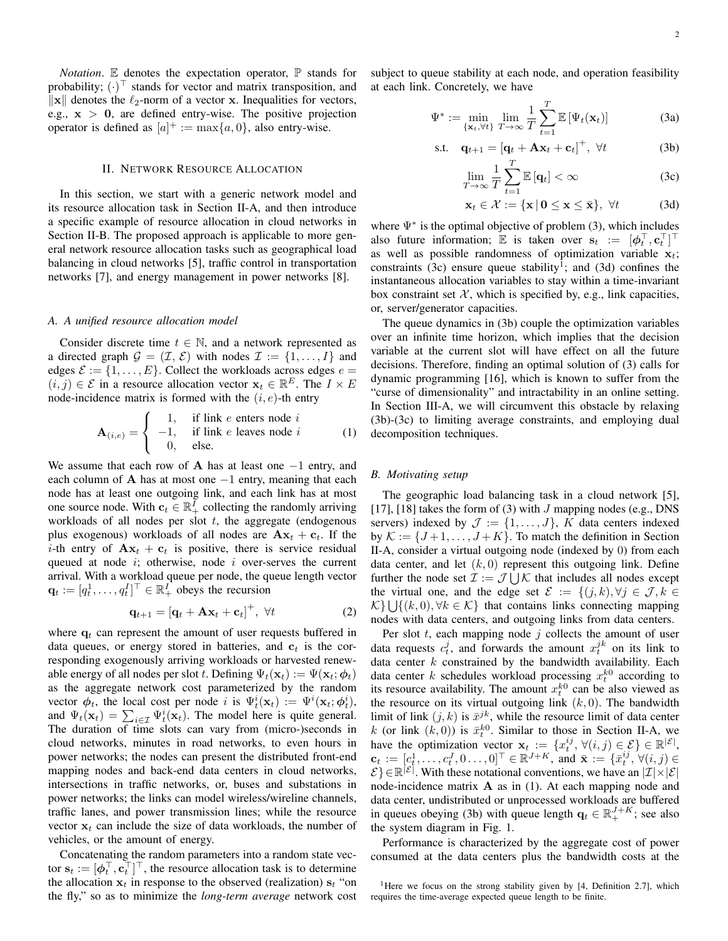*Notation*. E denotes the expectation operator,  $\mathbb P$  stands for probability;  $(\cdot)^{\top}$  stands for vector and matrix transposition, and  $\|\mathbf{x}\|$  denotes the  $\ell_2$ -norm of a vector x. Inequalities for vectors, e.g.,  $x > 0$ , are defined entry-wise. The positive projection operator is defined as  $[a]^+ := \max\{a, 0\}$ , also entry-wise.

# II. NETWORK RESOURCE ALLOCATION

In this section, we start with a generic network model and its resource allocation task in Section II-A, and then introduce a specific example of resource allocation in cloud networks in Section II-B. The proposed approach is applicable to more general network resource allocation tasks such as geographical load balancing in cloud networks [5], traffic control in transportation networks [7], and energy management in power networks [8].

# *A. A unified resource allocation model*

Consider discrete time  $t \in \mathbb{N}$ , and a network represented as a directed graph  $\mathcal{G} = (\mathcal{I}, \mathcal{E})$  with nodes  $\mathcal{I} := \{1, \ldots, I\}$  and edges  $\mathcal{E} := \{1, \ldots, E\}$ . Collect the workloads across edges  $e =$  $(i, j) \in \mathcal{E}$  in a resource allocation vector  $\mathbf{x}_t \in \mathbb{R}^E$ . The  $I \times E$ node-incidence matrix is formed with the  $(i, e)$ -th entry

$$
\mathbf{A}_{(i,e)} = \begin{cases} 1, & \text{if link } e \text{ enters node } i \\ -1, & \text{if link } e \text{ leaves node } i \\ 0, & \text{else.} \end{cases}
$$
 (1)

We assume that each row of A has at least one  $-1$  entry, and each column of A has at most one  $-1$  entry, meaning that each node has at least one outgoing link, and each link has at most one source node. With  $c_t \in \mathbb{R}^{\bar{I}}_+$  collecting the randomly arriving workloads of all nodes per slot  $t$ , the aggregate (endogenous plus exogenous) workloads of all nodes are  $A x_t + c_t$ . If the *i*-th entry of  $A x_t + c_t$  is positive, there is service residual queued at node  $i$ ; otherwise, node  $i$  over-serves the current arrival. With a workload queue per node, the queue length vector  $\mathbf{q}_t := [q_t^1, \dots, q_t^I]^\top \in \mathbb{R}_+^I$  obeys the recursion

$$
\mathbf{q}_{t+1} = \left[\mathbf{q}_t + \mathbf{A}\mathbf{x}_t + \mathbf{c}_t\right]^+, \ \forall t \tag{2}
$$

where  $q_t$  can represent the amount of user requests buffered in data queues, or energy stored in batteries, and  $c_t$  is the corresponding exogenously arriving workloads or harvested renewable energy of all nodes per slot t. Defining  $\Psi_t(\mathbf{x}_t) := \Psi(\mathbf{x}_t; \phi_t)$ as the aggregate network cost parameterized by the random vector  $\phi_t$ , the local cost per node i is  $\Psi_t^i(\mathbf{x}_t) := \Psi^i(\mathbf{x}_t; \phi_t^i)$ , and  $\Psi_t(\mathbf{x}_t) = \sum_{i \in \mathcal{I}} \Psi_t^i(\mathbf{x}_t)$ . The model here is quite general. The duration of time slots can vary from (micro-)seconds in cloud networks, minutes in road networks, to even hours in power networks; the nodes can present the distributed front-end mapping nodes and back-end data centers in cloud networks, intersections in traffic networks, or, buses and substations in power networks; the links can model wireless/wireline channels, traffic lanes, and power transmission lines; while the resource vector  $x_t$  can include the size of data workloads, the number of vehicles, or the amount of energy.

Concatenating the random parameters into a random state vector  $\mathbf{s}_t := [\boldsymbol{\phi}_t^\top, \mathbf{c}_t^\top]^\top$ , the resource allocation task is to determine the allocation  $x_t$  in response to the observed (realization)  $s_t$  "on the fly," so as to minimize the *long-term average* network cost subject to queue stability at each node, and operation feasibility at each link. Concretely, we have

$$
\Psi^* := \min_{\{\mathbf{x}_t, \forall t\}} \lim_{T \to \infty} \frac{1}{T} \sum_{t=1}^T \mathbb{E} \left[ \Psi_t(\mathbf{x}_t) \right] \tag{3a}
$$

$$
\text{s.t.} \quad \mathbf{q}_{t+1} = \left[\mathbf{q}_t + \mathbf{A}\mathbf{x}_t + \mathbf{c}_t\right]^+, \ \forall t \tag{3b}
$$

$$
\lim_{T \to \infty} \frac{1}{T} \sum_{t=1}^{T} \mathbb{E} \left[ \mathbf{q}_t \right] < \infty \tag{3c}
$$

$$
\mathbf{x}_t \in \mathcal{X} := \{ \mathbf{x} \, | \, \mathbf{0} \le \mathbf{x} \le \bar{\mathbf{x}} \}, \ \forall t \tag{3d}
$$

where  $\Psi^*$  is the optimal objective of problem (3), which includes also future information;  $\mathbb E$  is taken over  $\mathbf{s}_t := [\phi_t^\top, \mathbf{c}_t^\top]^\top$ as well as possible randomness of optimization variable  $x_t$ ; constraints (3c) ensure queue stability<sup>1</sup>; and (3d) confines the instantaneous allocation variables to stay within a time-invariant box constraint set  $X$ , which is specified by, e.g., link capacities, or, server/generator capacities.

The queue dynamics in (3b) couple the optimization variables over an infinite time horizon, which implies that the decision variable at the current slot will have effect on all the future decisions. Therefore, finding an optimal solution of (3) calls for dynamic programming [16], which is known to suffer from the "curse of dimensionality" and intractability in an online setting. In Section III-A, we will circumvent this obstacle by relaxing (3b)-(3c) to limiting average constraints, and employing dual decomposition techniques.

# *B. Motivating setup*

The geographic load balancing task in a cloud network [5], [17], [18] takes the form of (3) with J mapping nodes (e.g., DNS servers) indexed by  $\mathcal{J} := \{1, \ldots, J\}$ , K data centers indexed by  $\mathcal{K} := \{J+1, \ldots, J+K\}$ . To match the definition in Section II-A, consider a virtual outgoing node (indexed by 0) from each data center, and let  $(k, 0)$  represent this outgoing link. Define further the node set  $\mathcal{I} := \mathcal{J} \cup \mathcal{K}$  that includes all nodes except the virtual one, and the edge set  $\mathcal{E} := \{(j,k), \forall j \in \mathcal{J}, k \in$  $\mathcal{K}$   $\cup$  {(k, 0), ∀k ∈  $\mathcal{K}$ } that contains links connecting mapping nodes with data centers, and outgoing links from data centers.

Per slot  $t$ , each mapping node  $j$  collects the amount of user data requests  $c_t^j$ , and forwards the amount  $x_t^{jk}$  on its link to data center  $k$  constrained by the bandwidth availability. Each data center k schedules workload processing  $x_t^{k0}$  according to its resource availability. The amount  $x_t^{k0}$  can be also viewed as the resource on its virtual outgoing link  $(k, 0)$ . The bandwidth limit of link  $(j, k)$  is  $\bar{x}^{jk}$ , while the resource limit of data center k (or link  $(k, 0)$ ) is  $\bar{x}_t^{k0}$ . Similar to those in Section II-A, we have the optimization vector  $\mathbf{x}_t := \{x_t^{ij}, \forall (i,j) \in \mathcal{E}\} \in \mathbb{R}^{|\mathcal{E}|},$  $\mathbf{c}_t := [c_t^1, \dots, c_t^J, 0 \dots, 0]^\top \in \mathbb{R}^{J+K}$ , and  $\bar{\mathbf{x}} := \{\bar{x}_t^{ij}, \forall (i, j) \in$  $\mathcal{E} \in \mathbb{R}^{|\mathcal{E}|}$ . With these notational conventions, we have an  $|\mathcal{I}| \times |\mathcal{E}|$ node-incidence matrix A as in (1). At each mapping node and data center, undistributed or unprocessed workloads are buffered in queues obeying (3b) with queue length  $\mathbf{q}_t \in \mathbb{R}_+^{J+K}$ ; see also the system diagram in Fig. 1.

Performance is characterized by the aggregate cost of power consumed at the data centers plus the bandwidth costs at the

<sup>&</sup>lt;sup>1</sup>Here we focus on the strong stability given by [4, Definition 2.7], which requires the time-average expected queue length to be finite.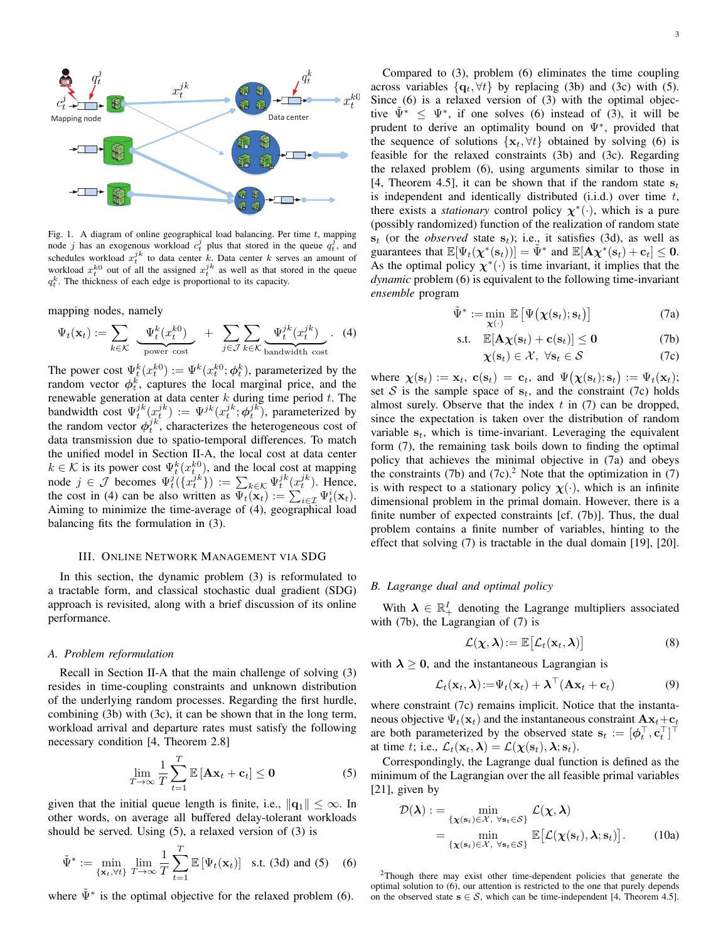

Fig. 1. A diagram of online geographical load balancing. Per time  $t$ , mapping node j has an exogenous workload  $c_t^j$  plus that stored in the queue  $q_t^j$ , and schedules workload  $x_t^{jk}$  to data center k. Data center k serves an amount of workload  $x_t^{k0}$  out of all the assigned  $x_t^{jk}$  as well as that stored in the queue  $q_t^k$ . The thickness of each edge is proportional to its capacity.

mapping nodes, namely

$$
\Psi_t(\mathbf{x}_t) := \sum_{k \in \mathcal{K}} \underbrace{\Psi_t^k(x_t^{k0})}_{\text{power cost}} + \sum_{j \in \mathcal{J}} \sum_{k \in \mathcal{K}} \underbrace{\Psi_t^{jk}(x_t^{jk})}_{\text{bandwidth cost}}.
$$
 (4)

The power cost  $\Psi_t^k(x_t^{k0}) := \Psi^k(x_t^{k0}; \phi_t^k)$ , parameterized by the random vector  $\phi_t^k$ , captures the local marginal price, and the renewable generation at data center  $k$  during time period  $t$ . The bandwidth cost  $\Psi_t^{jk}(x_t^{jk}) := \Psi^{jk}(x_t^{jk}; \phi_t^{jk})$ , parameterized by the random vector  $\phi_i^{jk}$ , characterizes the heterogeneous cost of data transmission due to spatio-temporal differences. To match the unified model in Section II-A, the local cost at data center  $k \in \mathcal{K}$  is its power cost  $\Psi_t^k(x_{t,j}^{k0})$ , and the local cost at mapping node  $j \in \mathcal{J}$  becomes  $\Psi_t^j(\lbrace x_t^{jk} \rbrace) := \sum_{k \in \mathcal{K}} \Psi_t^{jk}(x_t^{jk})$ . Hence, the cost in (4) can be also written as  $\Psi_t(\mathbf{x}_t) := \sum_{i \in \mathcal{I}} \Psi_t^i(\mathbf{x}_t)$ . Aiming to minimize the time-average of (4), geographical load balancing fits the formulation in (3).

# III. ONLINE NETWORK MANAGEMENT VIA SDG

In this section, the dynamic problem (3) is reformulated to a tractable form, and classical stochastic dual gradient (SDG) approach is revisited, along with a brief discussion of its online performance.

#### *A. Problem reformulation*

Recall in Section II-A that the main challenge of solving (3) resides in time-coupling constraints and unknown distribution of the underlying random processes. Regarding the first hurdle, combining (3b) with (3c), it can be shown that in the long term, workload arrival and departure rates must satisfy the following necessary condition [4, Theorem 2.8]

$$
\lim_{T \to \infty} \frac{1}{T} \sum_{t=1}^{T} \mathbb{E} \left[ \mathbf{A} \mathbf{x}_t + \mathbf{c}_t \right] \le \mathbf{0}
$$
 (5)

given that the initial queue length is finite, i.e.,  $\|\mathbf{q}_1\| \leq \infty$ . In other words, on average all buffered delay-tolerant workloads should be served. Using (5), a relaxed version of (3) is

$$
\tilde{\Psi}^* := \min_{\{\mathbf{x}_t, \forall t\}} \lim_{T \to \infty} \frac{1}{T} \sum_{t=1}^T \mathbb{E} \left[ \Psi_t(\mathbf{x}_t) \right] \text{ s.t. (3d) and (5) (6)}
$$

where  $\tilde{\Psi}^*$  is the optimal objective for the relaxed problem (6).

Compared to (3), problem (6) eliminates the time coupling across variables  $\{q_t, \forall t\}$  by replacing (3b) and (3c) with (5). Since (6) is a relaxed version of (3) with the optimal objective  $\tilde{\Psi}^* \leq \Psi^*$ , if one solves (6) instead of (3), it will be prudent to derive an optimality bound on  $\Psi^*$ , provided that the sequence of solutions  $\{x_t, \forall t\}$  obtained by solving (6) is feasible for the relaxed constraints (3b) and (3c). Regarding the relaxed problem (6), using arguments similar to those in [4, Theorem 4.5], it can be shown that if the random state  $s_t$ is independent and identically distributed  $(i.i.d.)$  over time  $t$ , there exists a *stationary* control policy  $\chi^*(\cdot)$ , which is a pure (possibly randomized) function of the realization of random state  $s_t$  (or the *observed* state  $s_t$ ); i.e., it satisfies (3d), as well as guarantees that  $\mathbb{E}[\Psi_t(\chi^*(s_t))] = \tilde{\Psi}^*$  and  $\mathbb{E}[\mathbf{A}\chi^*(s_t) + \mathbf{c}_t] \leq 0$ . As the optimal policy  $\chi^*(\cdot)$  is time invariant, it implies that the *dynamic* problem (6) is equivalent to the following time-invariant *ensemble* program

$$
\tilde{\Psi}^* := \min_{\mathbf{\chi}(\cdot)} \ \mathbb{E}\left[\Psi\big(\mathbf{\chi}(\mathbf{s}_t); \mathbf{s}_t\big)\right] \tag{7a}
$$

$$
\text{s.t.} \quad \mathbb{E}[\mathbf{A}\boldsymbol{\chi}(\mathbf{s}_t)+\mathbf{c}(\mathbf{s}_t)] \leq \mathbf{0} \tag{7b}
$$

$$
\chi(\mathbf{s}_t) \in \mathcal{X}, \ \forall \mathbf{s}_t \in \mathcal{S} \tag{7c}
$$

where  $\chi(\mathbf{s}_t) := \mathbf{x}_t$ ,  $\mathbf{c}(\mathbf{s}_t) = \mathbf{c}_t$ , and  $\Psi(\chi(\mathbf{s}_t); \mathbf{s}_t) := \Psi_t(\mathbf{x}_t);$ set S is the sample space of  $s_t$ , and the constraint (7c) holds almost surely. Observe that the index  $t$  in (7) can be dropped, since the expectation is taken over the distribution of random variable  $s_t$ , which is time-invariant. Leveraging the equivalent form (7), the remaining task boils down to finding the optimal policy that achieves the minimal objective in (7a) and obeys the constraints (7b) and (7c).<sup>2</sup> Note that the optimization in (7) is with respect to a stationary policy  $\chi(\cdot)$ , which is an infinite dimensional problem in the primal domain. However, there is a finite number of expected constraints [cf. (7b)]. Thus, the dual problem contains a finite number of variables, hinting to the effect that solving (7) is tractable in the dual domain [19], [20].

# *B. Lagrange dual and optimal policy*

With  $\lambda \in \mathbb{R}_+^I$  denoting the Lagrange multipliers associated with (7b), the Lagrangian of (7) is

$$
\mathcal{L}(\boldsymbol{\chi},\boldsymbol{\lambda}):=\mathbb{E}\big[\mathcal{L}_t(\mathbf{x}_t,\boldsymbol{\lambda})\big]
$$
(8)

with  $\lambda \geq 0$ , and the instantaneous Lagrangian is

$$
\mathcal{L}_t(\mathbf{x}_t, \boldsymbol{\lambda}) \! := \! \Psi_t(\mathbf{x}_t) + \boldsymbol{\lambda}^\top (\mathbf{A}\mathbf{x}_t + \mathbf{c}_t) \tag{9}
$$

where constraint (7c) remains implicit. Notice that the instantaneous objective  $\Psi_t(\mathbf{x}_t)$  and the instantaneous constraint  $\mathbf{A}\mathbf{x}_t+\mathbf{c}_t$ are both parameterized by the observed state  $\mathbf{s}_t := [\phi_t^\top, \mathbf{c}_t^\top]^\top$ at time t; i.e.,  $\mathcal{L}_t(\mathbf{x}_t, \lambda) = \mathcal{L}(\chi(\mathbf{s}_t), \lambda; \mathbf{s}_t)$ .

Correspondingly, the Lagrange dual function is defined as the minimum of the Lagrangian over the all feasible primal variables [21], given by

$$
\mathcal{D}(\boldsymbol{\lambda}) := \min_{\{\boldsymbol{\chi}(\mathbf{s}_t) \in \mathcal{X}, \ \forall \mathbf{s}_t \in \mathcal{S}\}} \mathcal{L}(\boldsymbol{\chi}, \boldsymbol{\lambda})
$$
  
= 
$$
\min_{\{\boldsymbol{\chi}(\mathbf{s}_t) \in \mathcal{X}, \ \forall \mathbf{s}_t \in \mathcal{S}\}} \mathbb{E}[\mathcal{L}(\boldsymbol{\chi}(\mathbf{s}_t), \boldsymbol{\lambda}; \mathbf{s}_t)].
$$
 (10a)

<sup>2</sup>Though there may exist other time-dependent policies that generate the optimal solution to (6), our attention is restricted to the one that purely depends on the observed state  $s \in S$ , which can be time-independent [4, Theorem 4.5].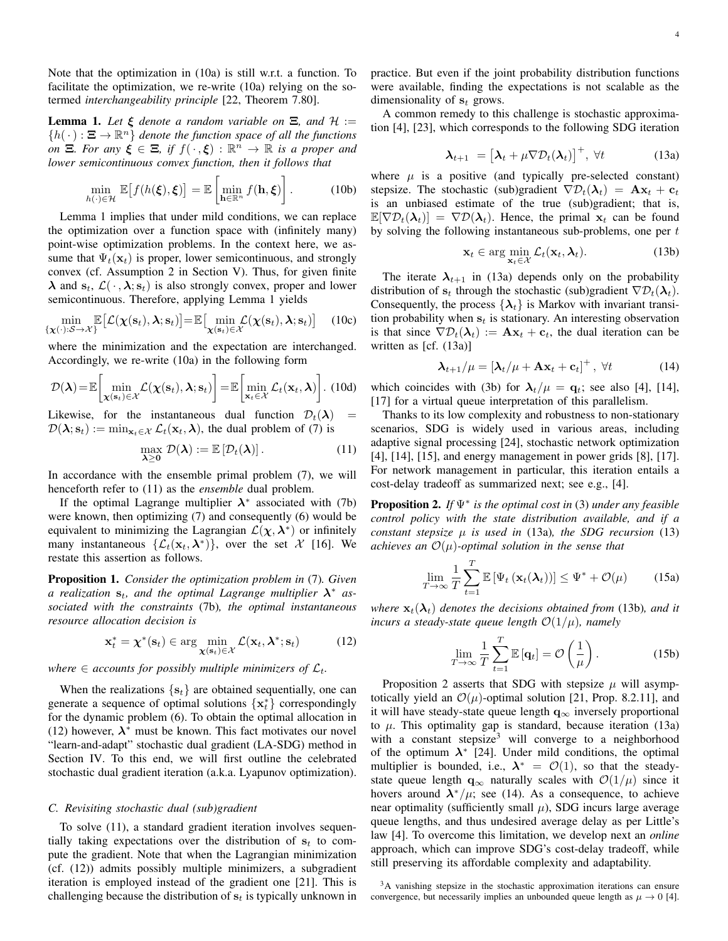Note that the optimization in (10a) is still w.r.t. a function. To facilitate the optimization, we re-write (10a) relying on the sotermed *interchangeability principle* [22, Theorem 7.80].

**Lemma 1.** Let  $\xi$  denote a random variable on  $\Xi$ , and  $\mathcal{H}$  :=  ${h(\cdot): \Xi \to \mathbb{R}^n}$  *denote the function space of all the functions on*  $\Xi$ *. For any*  $\xi \in \Xi$ *, if*  $f(\cdot, \xi) : \mathbb{R}^n \to \mathbb{R}$  *is a proper and lower semicontinuous convex function, then it follows that*

$$
\min_{h(\cdot)\in\mathcal{H}} \mathbb{E}\big[f(h(\xi),\xi)\big] = \mathbb{E}\left[\min_{\mathbf{h}\in\mathbb{R}^n} f(\mathbf{h},\xi)\right].\tag{10b}
$$

Lemma 1 implies that under mild conditions, we can replace the optimization over a function space with (infinitely many) point-wise optimization problems. In the context here, we assume that  $\Psi_t(\mathbf{x}_t)$  is proper, lower semicontinuous, and strongly convex (cf. Assumption 2 in Section V). Thus, for given finite  $\lambda$  and  $s_t$ ,  $\mathcal{L}(\cdot, \lambda; s_t)$  is also strongly convex, proper and lower semicontinuous. Therefore, applying Lemma 1 yields

$$
\min_{\{\mathbf{\chi}(\cdot): \mathcal{S} \to \mathcal{X}\}} \mathbb{E}\big[\mathcal{L}(\mathbf{\chi}(\mathbf{s}_t), \boldsymbol{\lambda}; \mathbf{s}_t)\big] = \mathbb{E}\big[\min_{\mathbf{\chi}(\mathbf{s}_t) \in \mathcal{X}} \mathcal{L}(\mathbf{\chi}(\mathbf{s}_t), \boldsymbol{\lambda}; \mathbf{s}_t)\big] \quad (10c)
$$

where the minimization and the expectation are interchanged. Accordingly, we re-write (10a) in the following form

$$
\mathcal{D}(\boldsymbol{\lambda}) = \mathbb{E}\left[\min_{\boldsymbol{\chi}(\mathbf{s}_t)\in\mathcal{X}} \mathcal{L}(\boldsymbol{\chi}(\mathbf{s}_t), \boldsymbol{\lambda}; \mathbf{s}_t)\right] = \mathbb{E}\left[\min_{\mathbf{x}_t\in\mathcal{X}} \mathcal{L}_t(\mathbf{x}_t, \boldsymbol{\lambda})\right].
$$
 (10d)

Likewise, for the instantaneous dual function  $\mathcal{D}_t(\lambda)$  =  $\mathcal{D}(\lambda; s_t) := \min_{\mathbf{x}_t \in \mathcal{X}} \mathcal{L}_t(\mathbf{x}_t, \lambda)$ , the dual problem of (7) is

$$
\max_{\lambda \geq 0} \mathcal{D}(\lambda) := \mathbb{E}\left[\mathcal{D}_t(\lambda)\right]. \tag{11}
$$

In accordance with the ensemble primal problem (7), we will henceforth refer to (11) as the *ensemble* dual problem.

If the optimal Lagrange multiplier  $\lambda^*$  associated with (7b) were known, then optimizing (7) and consequently (6) would be equivalent to minimizing the Lagrangian  $\mathcal{L}(\chi, \lambda^*)$  or infinitely many instantaneous  $\{\mathcal{L}_t(\mathbf{x}_t, \boldsymbol{\lambda}^*)\}$ , over the set  $\mathcal{X}$  [16]. We restate this assertion as follows.

Proposition 1. *Consider the optimization problem in* (7)*. Given a* realization  $s_t$ , and the optimal Lagrange multiplier  $\lambda^*$  as*sociated with the constraints* (7b)*, the optimal instantaneous resource allocation decision is*

$$
\mathbf{x}_{t}^{*} = \boldsymbol{\chi}^{*}(\mathbf{s}_{t}) \in \arg\min_{\mathbf{\chi}(\mathbf{s}_{t}) \in \mathcal{X}} \mathcal{L}(\mathbf{x}_{t}, \boldsymbol{\lambda}^{*}; \mathbf{s}_{t})
$$
(12)

*where*  $\in$  *accounts for possibly multiple minimizers of*  $\mathcal{L}_t$ *.* 

When the realizations  $\{s_t\}$  are obtained sequentially, one can generate a sequence of optimal solutions  $\{x_t^*\}$  correspondingly for the dynamic problem (6). To obtain the optimal allocation in (12) however,  $\lambda^*$  must be known. This fact motivates our novel "learn-and-adapt" stochastic dual gradient (LA-SDG) method in Section IV. To this end, we will first outline the celebrated stochastic dual gradient iteration (a.k.a. Lyapunov optimization).

## *C. Revisiting stochastic dual (sub)gradient*

To solve (11), a standard gradient iteration involves sequentially taking expectations over the distribution of  $s_t$  to compute the gradient. Note that when the Lagrangian minimization (cf. (12)) admits possibly multiple minimizers, a subgradient iteration is employed instead of the gradient one [21]. This is challenging because the distribution of  $s_t$  is typically unknown in practice. But even if the joint probability distribution functions were available, finding the expectations is not scalable as the dimensionality of  $s_t$  grows.

A common remedy to this challenge is stochastic approximation [4], [23], which corresponds to the following SDG iteration

$$
\boldsymbol{\lambda}_{t+1} = \left[ \boldsymbol{\lambda}_t + \mu \nabla \mathcal{D}_t(\boldsymbol{\lambda}_t) \right]^+, \ \forall t \tag{13a}
$$

where  $\mu$  is a positive (and typically pre-selected constant) stepsize. The stochastic (sub)gradient  $\nabla \mathcal{D}_t(\lambda_t) = \mathbf{A}\mathbf{x}_t + \mathbf{c}_t$ is an unbiased estimate of the true (sub)gradient; that is,  $\mathbb{E}[\nabla \mathcal{D}_t(\lambda_t)] = \nabla \mathcal{D}(\lambda_t)$ . Hence, the primal  $\mathbf{x}_t$  can be found by solving the following instantaneous sub-problems, one per  $t$ 

$$
\mathbf{x}_t \in \arg\min_{\mathbf{x}_t \in \mathcal{X}} \mathcal{L}_t(\mathbf{x}_t, \boldsymbol{\lambda}_t). \tag{13b}
$$

The iterate  $\lambda_{t+1}$  in (13a) depends only on the probability distribution of  $s_t$  through the stochastic (sub)gradient  $\nabla \mathcal{D}_t(\lambda_t)$ . Consequently, the process  $\{\lambda_t\}$  is Markov with invariant transition probability when  $s_t$  is stationary. An interesting observation is that since  $\nabla \mathcal{D}_t(\lambda_t) := \mathbf{A}\mathbf{x}_t + \mathbf{c}_t$ , the dual iteration can be written as [cf. (13a)]

$$
\lambda_{t+1}/\mu = \left[\lambda_t/\mu + \mathbf{A}\mathbf{x}_t + \mathbf{c}_t\right]^+, \ \forall t \tag{14}
$$

which coincides with (3b) for  $\lambda_t/\mu = \mathbf{q}_t$ ; see also [4], [14], [17] for a virtual queue interpretation of this parallelism.

Thanks to its low complexity and robustness to non-stationary scenarios, SDG is widely used in various areas, including adaptive signal processing [24], stochastic network optimization [4], [14], [15], and energy management in power grids [8], [17]. For network management in particular, this iteration entails a cost-delay tradeoff as summarized next; see e.g., [4].

Proposition 2. *If* Ψ<sup>∗</sup> *is the optimal cost in* (3) *under any feasible control policy with the state distribution available, and if a constant stepsize*  $\mu$  *is used in* (13a)*, the SDG recursion* (13) *achieves an*  $\mathcal{O}(\mu)$ -optimal solution in the sense that

$$
\lim_{T \to \infty} \frac{1}{T} \sum_{t=1}^{T} \mathbb{E} \left[ \Psi_t \left( \mathbf{x}_t(\boldsymbol{\lambda}_t) \right) \right] \leq \Psi^* + \mathcal{O}(\mu) \tag{15a}
$$

*where*  $\mathbf{x}_t(\lambda_t)$  *denotes the decisions obtained from* (13b)*, and it incurs a steady-state queue length*  $\mathcal{O}(1/\mu)$ *, namely* 

$$
\lim_{T \to \infty} \frac{1}{T} \sum_{t=1}^{T} \mathbb{E} \left[ \mathbf{q}_t \right] = \mathcal{O} \left( \frac{1}{\mu} \right). \tag{15b}
$$

Proposition 2 asserts that SDG with stepsize  $\mu$  will asymptotically yield an  $\mathcal{O}(\mu)$ -optimal solution [21, Prop. 8.2.11], and it will have steady-state queue length  $q_{\infty}$  inversely proportional to  $\mu$ . This optimality gap is standard, because iteration (13a) with a constant stepsize<sup>3</sup> will converge to a neighborhood of the optimum  $\lambda^*$  [24]. Under mild conditions, the optimal multiplier is bounded, i.e.,  $\lambda^* = \mathcal{O}(1)$ , so that the steadystate queue length  $q_{\infty}$  naturally scales with  $\mathcal{O}(1/\mu)$  since it hovers around  $\lambda^*/\mu$ ; see (14). As a consequence, to achieve near optimality (sufficiently small  $\mu$ ), SDG incurs large average queue lengths, and thus undesired average delay as per Little's law [4]. To overcome this limitation, we develop next an *online* approach, which can improve SDG's cost-delay tradeoff, while still preserving its affordable complexity and adaptability.

<sup>3</sup>A vanishing stepsize in the stochastic approximation iterations can ensure convergence, but necessarily implies an unbounded queue length as  $\mu \rightarrow 0$  [4].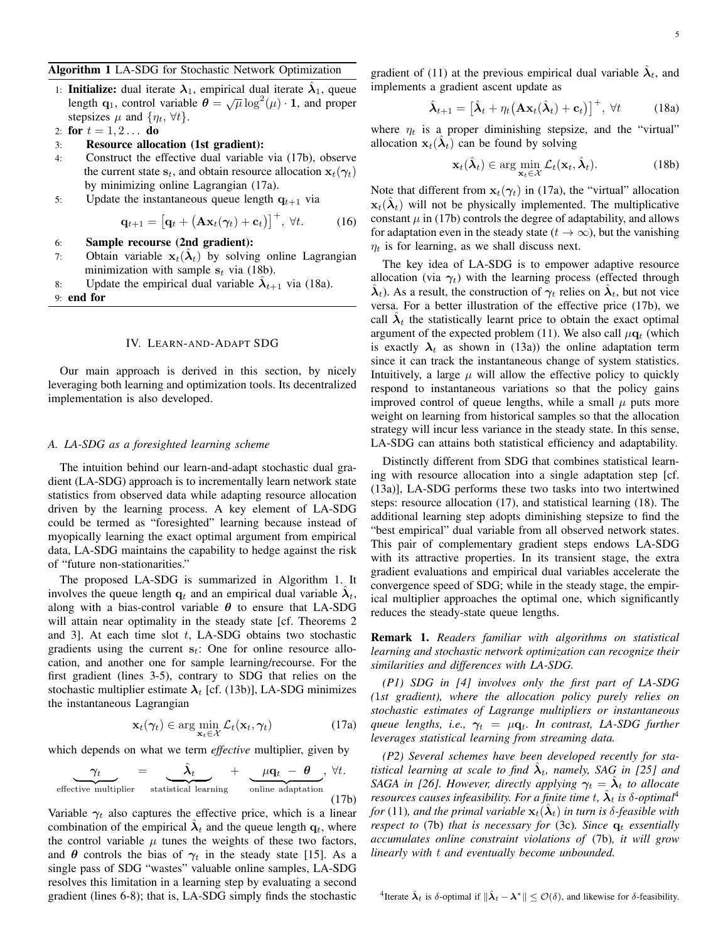# Algorithm 1 LA-SDG for Stochastic Network Optimization

1: Initialize: dual iterate  $\lambda_1$ , empirical dual iterate  $\hat{\lambda}_1$ , queue **Initiallie:** under the attempt of  $\mathcal{A}_1$ , empirical dual herate  $\mathcal{A}_1$ , queue<br>length  $\mathbf{q}_1$ , control variable  $\theta = \sqrt{\mu} \log^2(\mu) \cdot \mathbf{1}$ , and proper stepsizes  $\mu$  and  $\{\eta_t, \forall t\}.$ 

2: for  $t = 1, 2...$  do

# 3: Resource allocation (1st gradient):

- 4: Construct the effective dual variable via (17b), observe the current state  $s_t$ , and obtain resource allocation  $x_t(\gamma_t)$ by minimizing online Lagrangian (17a).
- 5: Update the instantaneous queue length  $q_{t+1}$  via

$$
\mathbf{q}_{t+1} = \left[\mathbf{q}_t + \left(\mathbf{A}\mathbf{x}_t(\gamma_t) + \mathbf{c}_t\right)\right]^+, \forall t. \tag{16}
$$

 $\sqrt{2}$ 

6: Sample recourse (2nd gradient):

- 7: Obtain variable  $\mathbf{x}_t(\hat{\lambda}_t)$  by solving online Lagrangian minimization with sample  $s_t$  via (18b).
- 8: Update the empirical dual variable  $\hat{\lambda}_{t+1}$  via (18a).
- 9: end for

## IV. LEARN-AND-ADAPT SDG

Our main approach is derived in this section, by nicely leveraging both learning and optimization tools. Its decentralized implementation is also developed.

#### *A. LA-SDG as a foresighted learning scheme*

The intuition behind our learn-and-adapt stochastic dual gradient (LA-SDG) approach is to incrementally learn network state statistics from observed data while adapting resource allocation driven by the learning process. A key element of LA-SDG could be termed as "foresighted" learning because instead of myopically learning the exact optimal argument from empirical data, LA-SDG maintains the capability to hedge against the risk of "future non-stationarities."

The proposed LA-SDG is summarized in Algorithm 1. It involves the queue length  $\mathbf{q}_t$  and an empirical dual variable  $\hat{\lambda}_t$ , along with a bias-control variable  $\theta$  to ensure that LA-SDG will attain near optimality in the steady state [cf. Theorems 2 and 3]. At each time slot  $t$ , LA-SDG obtains two stochastic gradients using the current  $s_t$ : One for online resource allocation, and another one for sample learning/recourse. For the first gradient (lines 3-5), contrary to SDG that relies on the stochastic multiplier estimate  $\lambda_t$  [cf. (13b)], LA-SDG minimizes the instantaneous Lagrangian

$$
\mathbf{x}_t(\gamma_t) \in \arg\min_{\mathbf{x}_t \in \mathcal{X}} \mathcal{L}_t(\mathbf{x}_t, \gamma_t)
$$
 (17a)

which depends on what we term *effective* multiplier, given by

$$
\underbrace{\gamma_t}_{\text{effective multiplier}} = \underbrace{\hat{\lambda}_t}_{\text{statistical learning}} + \underbrace{\mu \mathbf{q}_t - \boldsymbol{\theta}}_{\text{online adaptation}}, \forall t. \tag{17b}
$$

Variable  $\gamma_t$  also captures the effective price, which is a linear combination of the empirical  $\hat{\lambda}_t$  and the queue length  $q_t$ , where the control variable  $\mu$  tunes the weights of these two factors, and  $\theta$  controls the bias of  $\gamma_t$  in the steady state [15]. As a single pass of SDG "wastes" valuable online samples, LA-SDG resolves this limitation in a learning step by evaluating a second gradient (lines 6-8); that is, LA-SDG simply finds the stochastic

gradient of (11) at the previous empirical dual variable  $\hat{\lambda}_t$ , and implements a gradient ascent update as

$$
\hat{\boldsymbol{\lambda}}_{t+1} = \left[\hat{\boldsymbol{\lambda}}_t + \eta_t \big(\mathbf{A}\mathbf{x}_t(\hat{\boldsymbol{\lambda}}_t) + \mathbf{c}_t\big)\right]^+, \ \forall t \tag{18a}
$$

where  $\eta_t$  is a proper diminishing stepsize, and the "virtual" allocation  $\mathbf{x}_t(\hat{\lambda}_t)$  can be found by solving

$$
\mathbf{x}_t(\hat{\boldsymbol{\lambda}}_t) \in \arg\min_{\mathbf{x}_t \in \mathcal{X}} \mathcal{L}_t(\mathbf{x}_t, \hat{\boldsymbol{\lambda}}_t). \tag{18b}
$$

Note that different from  $x_t(\gamma_t)$  in (17a), the "virtual" allocation  $\mathbf{x}_t(\hat{\lambda}_t)$  will not be physically implemented. The multiplicative constant  $\mu$  in (17b) controls the degree of adaptability, and allows for adaptation even in the steady state ( $t \to \infty$ ), but the vanishing  $\eta_t$  is for learning, as we shall discuss next.

The key idea of LA-SDG is to empower adaptive resource allocation (via  $\gamma_t$ ) with the learning process (effected through  $\hat{\lambda}_t$ ). As a result, the construction of  $\gamma_t$  relies on  $\hat{\lambda}_t$ , but not vice versa. For a better illustration of the effective price (17b), we call  $\hat{\lambda}_t$  the statistically learnt price to obtain the exact optimal argument of the expected problem (11). We also call  $\mu \mathbf{q}_t$  (which is exactly  $\lambda_t$  as shown in (13a)) the online adaptation term since it can track the instantaneous change of system statistics. Intuitively, a large  $\mu$  will allow the effective policy to quickly respond to instantaneous variations so that the policy gains improved control of queue lengths, while a small  $\mu$  puts more weight on learning from historical samples so that the allocation strategy will incur less variance in the steady state. In this sense, LA-SDG can attains both statistical efficiency and adaptability.

Distinctly different from SDG that combines statistical learning with resource allocation into a single adaptation step [cf. (13a)], LA-SDG performs these two tasks into two intertwined steps: resource allocation (17), and statistical learning (18). The additional learning step adopts diminishing stepsize to find the "best empirical" dual variable from all observed network states. This pair of complementary gradient steps endows LA-SDG with its attractive properties. In its transient stage, the extra gradient evaluations and empirical dual variables accelerate the convergence speed of SDG; while in the steady stage, the empirical multiplier approaches the optimal one, which significantly reduces the steady-state queue lengths.

Remark 1. *Readers familiar with algorithms on statistical learning and stochastic network optimization can recognize their similarities and differences with LA-SDG.*

*(P1) SDG in [4] involves only the first part of LA-SDG (*1*st gradient), where the allocation policy purely relies on stochastic estimates of Lagrange multipliers or instantaneous queue lengths, i.e.,*  $\gamma_t = \mu q_t$ *. In contrast, LA-SDG further leverages statistical learning from streaming data.*

*(P2) Several schemes have been developed recently for sta*tistical learning at scale to find  $\hat{\lambda}_t$ , namely, SAG in [25] and *SAGA in [26]. However, directly applying*  $\gamma_t = \hat{\lambda}_t$  *to allocate resources causes infeasibility. For a finite time t,*  $\hat{\lambda}_t$  *is*  $\delta$ -*optimal*<sup>4</sup> *for* (11), and the primal variable  $\mathbf{x}_t(\hat{\boldsymbol{\lambda}}_t)$  in turn is  $\delta$ -feasible with *respect to* (7b) *that is necessary for* (3c)*. Since*  $q_t$  *essentially accumulates online constraint violations of* (7b)*, it will grow linearly with* t *and eventually become unbounded.*

<sup>4</sup>Iterate  $\hat{\lambda}_t$  is δ-optimal if  $\|\hat{\lambda}_t - \lambda^*\| \leq \mathcal{O}(\delta)$ , and likewise for δ-feasibility.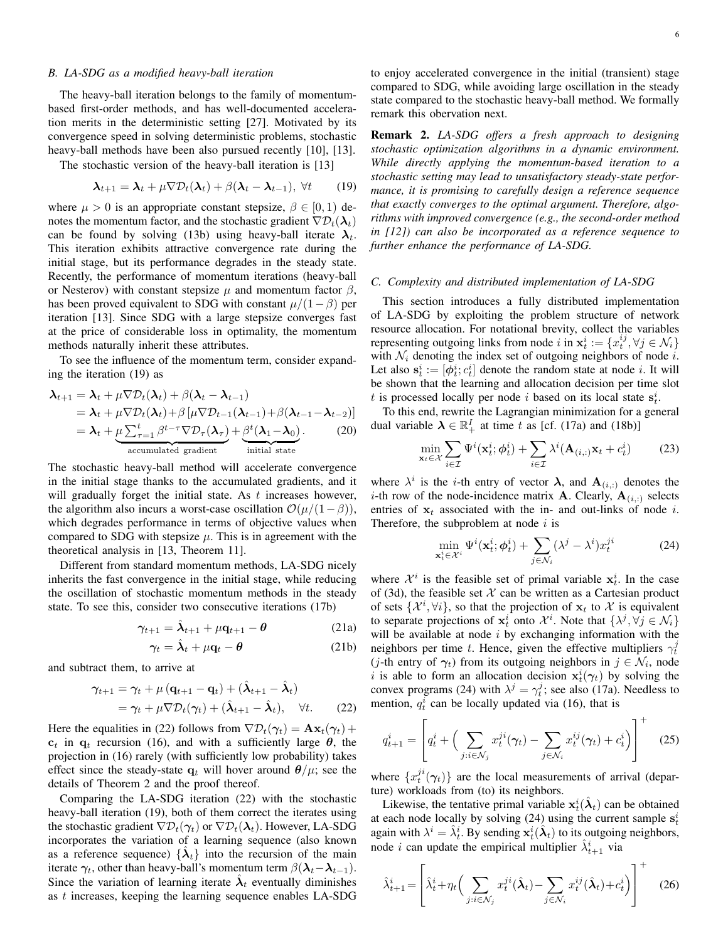## *B. LA-SDG as a modified heavy-ball iteration*

The heavy-ball iteration belongs to the family of momentumbased first-order methods, and has well-documented acceleration merits in the deterministic setting [27]. Motivated by its convergence speed in solving deterministic problems, stochastic heavy-ball methods have been also pursued recently [10], [13].

The stochastic version of the heavy-ball iteration is [13]

$$
\boldsymbol{\lambda}_{t+1} = \boldsymbol{\lambda}_t + \mu \nabla \mathcal{D}_t(\boldsymbol{\lambda}_t) + \beta(\boldsymbol{\lambda}_t - \boldsymbol{\lambda}_{t-1}), \ \forall t \tag{19}
$$

where  $\mu > 0$  is an appropriate constant stepsize,  $\beta \in [0, 1)$  denotes the momentum factor, and the stochastic gradient  $\nabla \mathcal{D}_t(\lambda_t)$ can be found by solving (13b) using heavy-ball iterate  $\lambda_t$ . This iteration exhibits attractive convergence rate during the initial stage, but its performance degrades in the steady state. Recently, the performance of momentum iterations (heavy-ball or Nesterov) with constant stepsize  $\mu$  and momentum factor  $\beta$ , has been proved equivalent to SDG with constant  $\mu/(1-\beta)$  per iteration [13]. Since SDG with a large stepsize converges fast at the price of considerable loss in optimality, the momentum methods naturally inherit these attributes.

To see the influence of the momentum term, consider expanding the iteration (19) as

$$
\lambda_{t+1} = \lambda_t + \mu \nabla \mathcal{D}_t(\lambda_t) + \beta(\lambda_t - \lambda_{t-1})
$$
  
=  $\lambda_t + \mu \nabla \mathcal{D}_t(\lambda_t) + \beta [\mu \nabla \mathcal{D}_{t-1}(\lambda_{t-1}) + \beta(\lambda_{t-1} - \lambda_{t-2})]$   
=  $\lambda_t + \mu \sum_{\tau=1}^t \beta^{t-\tau} \nabla \mathcal{D}_\tau(\lambda_\tau) + \beta^t (\lambda_1 - \lambda_0).$  (20)  
accumulated gradient  
initial state

The stochastic heavy-ball method will accelerate convergence in the initial stage thanks to the accumulated gradients, and it will gradually forget the initial state. As  $t$  increases however, the algorithm also incurs a worst-case oscillation  $\mathcal{O}(\mu/(1-\beta)),$ which degrades performance in terms of objective values when compared to SDG with stepsize  $\mu$ . This is in agreement with the theoretical analysis in [13, Theorem 11].

Different from standard momentum methods, LA-SDG nicely inherits the fast convergence in the initial stage, while reducing the oscillation of stochastic momentum methods in the steady state. To see this, consider two consecutive iterations (17b)

$$
\gamma_{t+1} = \hat{\lambda}_{t+1} + \mu \mathbf{q}_{t+1} - \theta \tag{21a}
$$

$$
\gamma_t = \hat{\lambda}_t + \mu \mathbf{q}_t - \theta \tag{21b}
$$

and subtract them, to arrive at

$$
\gamma_{t+1} = \gamma_t + \mu (q_{t+1} - q_t) + (\hat{\lambda}_{t+1} - \hat{\lambda}_t)
$$
  
=  $\gamma_t + \mu \nabla \mathcal{D}_t(\gamma_t) + (\hat{\lambda}_{t+1} - \hat{\lambda}_t), \quad \forall t.$  (22)

Here the equalities in (22) follows from  $\nabla \mathcal{D}_t(\gamma_t) = \mathbf{A}\mathbf{x}_t(\gamma_t) +$  $c_t$  in  $q_t$  recursion (16), and with a sufficiently large  $\theta$ , the projection in (16) rarely (with sufficiently low probability) takes effect since the steady-state  $q_t$  will hover around  $\theta/\mu$ ; see the details of Theorem 2 and the proof thereof.

Comparing the LA-SDG iteration (22) with the stochastic heavy-ball iteration (19), both of them correct the iterates using the stochastic gradient  $\nabla \mathcal{D}_t(\gamma_t)$  or  $\nabla \mathcal{D}_t(\lambda_t)$ . However, LA-SDG incorporates the variation of a learning sequence (also known as a reference sequence)  $\{\hat{\lambda}_t\}$  into the recursion of the main iterate  $\gamma_t$ , other than heavy-ball's momentum term  $\beta(\lambda_t-\lambda_{t-1})$ . Since the variation of learning iterate  $\hat{\lambda}_t$  eventually diminishes as t increases, keeping the learning sequence enables LA-SDG to enjoy accelerated convergence in the initial (transient) stage compared to SDG, while avoiding large oscillation in the steady state compared to the stochastic heavy-ball method. We formally remark this obervation next.

Remark 2. *LA-SDG offers a fresh approach to designing stochastic optimization algorithms in a dynamic environment. While directly applying the momentum-based iteration to a stochastic setting may lead to unsatisfactory steady-state performance, it is promising to carefully design a reference sequence that exactly converges to the optimal argument. Therefore, algorithms with improved convergence (e.g., the second-order method in [12]) can also be incorporated as a reference sequence to further enhance the performance of LA-SDG.*

# *C. Complexity and distributed implementation of LA-SDG*

This section introduces a fully distributed implementation of LA-SDG by exploiting the problem structure of network resource allocation. For notational brevity, collect the variables representing outgoing links from node  $i$  in  $\mathbf{x}_t^i := \{x_t^{ij}, \forall j \in \mathcal{N}_i\}$ with  $\mathcal{N}_i$  denoting the index set of outgoing neighbors of node i. Let also  $s_t^i := [\phi_t^i; c_t^i]$  denote the random state at node *i*. It will be shown that the learning and allocation decision per time slot t is processed locally per node i based on its local state  $s_t^i$ .

To this end, rewrite the Lagrangian minimization for a general dual variable  $\lambda \in \mathbb{R}^I_+$  at time t as [cf. (17a) and (18b)]

$$
\min_{\mathbf{x}_t \in \mathcal{X}} \sum_{i \in \mathcal{I}} \Psi^i(\mathbf{x}_t^i; \phi_t^i) + \sum_{i \in \mathcal{I}} \lambda^i(\mathbf{A}_{(i,:)} \mathbf{x}_t + c_t^i)
$$
(23)

where  $\lambda^i$  is the *i*-th entry of vector  $\lambda$ , and  $\mathbf{A}_{(i,:)}$  denotes the *i*-th row of the node-incidence matrix **A**. Clearly,  $\mathbf{A}_{(i,:)}$  selects entries of  $x_t$  associated with the in- and out-links of node i. Therefore, the subproblem at node  $i$  is

$$
\min_{\mathbf{x}_t^i \in \mathcal{X}^i} \Psi^i(\mathbf{x}_t^i; \phi_t^i) + \sum_{j \in \mathcal{N}_i} (\lambda^j - \lambda^i) x_t^{ji}
$$
\n(24)

where  $\mathcal{X}^i$  is the feasible set of primal variable  $x_t^i$ . In the case of (3d), the feasible set  $X$  can be written as a Cartesian product of sets  $\{\mathcal{X}^i, \forall i\}$ , so that the projection of  $\mathbf{x}_t$  to  $\mathcal{X}$  is equivalent to separate projections of  $x_t^i$  onto  $\mathcal{X}^i$ . Note that  $\{\lambda^j, \forall j \in \mathcal{N}_i\}$ will be available at node  $i$  by exchanging information with the neighbors per time t. Hence, given the effective multipliers  $\gamma_t^j$ (*j*-th entry of  $\gamma_t$ ) from its outgoing neighbors in  $j \in \mathcal{N}_i$ , node i is able to form an allocation decision  $x_t^i(\gamma_t)$  by solving the convex programs (24) with  $\lambda^{j} = \gamma_{t}^{j}$ ; see also (17a). Needless to mention,  $q_t^i$  can be locally updated via (16), that is

$$
q_{t+1}^i = \left[ q_t^i + \left( \sum_{j:i \in \mathcal{N}_j} x_t^{ji} (\gamma_t) - \sum_{j \in \mathcal{N}_i} x_t^{ij} (\gamma_t) + c_t^i \right) \right]^+ \tag{25}
$$

where  $\{x_t^{ji}(\gamma_t)\}$  are the local measurements of arrival (departure) workloads from (to) its neighbors.

Likewise, the tentative primal variable  $x_t^i(\hat{\lambda}_t)$  can be obtained at each node locally by solving (24) using the current sample  $s_t^i$ again with  $\lambda^i = \hat{\lambda}_t^i$ . By sending  $\mathbf{x}_t^i(\hat{\lambda}_t)$  to its outgoing neighbors, node *i* can update the empirical multiplier  $\hat{\lambda}_{t+1}^i$  via

$$
\hat{\lambda}_{t+1}^i = \left[ \hat{\lambda}_t^i + \eta_t \left( \sum_{j:i \in \mathcal{N}_j} x_t^{ji} (\hat{\lambda}_t) - \sum_{j \in \mathcal{N}_i} x_t^{ij} (\hat{\lambda}_t) + c_t^i \right) \right]^+ \tag{26}
$$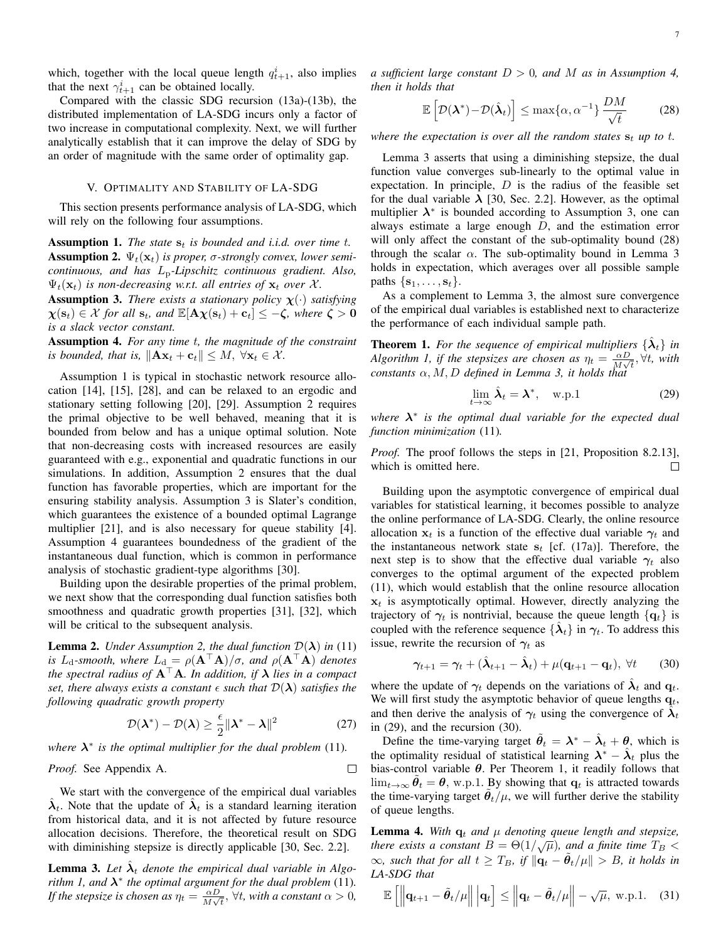which, together with the local queue length  $q_{t+1}^i$ , also implies that the next  $\gamma_{t+1}^i$  can be obtained locally.

Compared with the classic SDG recursion (13a)-(13b), the distributed implementation of LA-SDG incurs only a factor of two increase in computational complexity. Next, we will further analytically establish that it can improve the delay of SDG by an order of magnitude with the same order of optimality gap.

## V. OPTIMALITY AND STABILITY OF LA-SDG

This section presents performance analysis of LA-SDG, which will rely on the following four assumptions.

**Assumption 1.** *The state*  $s_t$  *is bounded and i.i.d. over time t.* **Assumption 2.**  $\Psi_t(\mathbf{x}_t)$  *is proper, σ-strongly convex, lower semicontinuous, and has* Lp*-Lipschitz continuous gradient. Also,*  $\Psi_t(\mathbf{x}_t)$  *is non-decreasing w.r.t. all entries of*  $\mathbf{x}_t$  *over* X.

**Assumption 3.** *There exists a stationary policy*  $\chi(\cdot)$  *satisfying*  $\chi(\mathbf{s}_t) \in \mathcal{X}$  for all  $\mathbf{s}_t$ *, and*  $\mathbb{E}[\mathbf{A}\chi(\mathbf{s}_t)+\mathbf{c}_t] \leq -\zeta$ *, where*  $\zeta > 0$ *is a slack vector constant.*

Assumption 4. *For any time* t*, the magnitude of the constraint is bounded, that is,*  $\|\mathbf{A}\mathbf{x}_t + \mathbf{c}_t\| \leq M$ ,  $\forall \mathbf{x}_t \in \mathcal{X}$ .

Assumption 1 is typical in stochastic network resource allocation [14], [15], [28], and can be relaxed to an ergodic and stationary setting following [20], [29]. Assumption 2 requires the primal objective to be well behaved, meaning that it is bounded from below and has a unique optimal solution. Note that non-decreasing costs with increased resources are easily guaranteed with e.g., exponential and quadratic functions in our simulations. In addition, Assumption 2 ensures that the dual function has favorable properties, which are important for the ensuring stability analysis. Assumption 3 is Slater's condition, which guarantees the existence of a bounded optimal Lagrange multiplier [21], and is also necessary for queue stability [4]. Assumption 4 guarantees boundedness of the gradient of the instantaneous dual function, which is common in performance analysis of stochastic gradient-type algorithms [30].

Building upon the desirable properties of the primal problem, we next show that the corresponding dual function satisfies both smoothness and quadratic growth properties [31], [32], which will be critical to the subsequent analysis.

**Lemma 2.** *Under Assumption 2, the dual function*  $\mathcal{D}(\lambda)$  *in* (11) *is* L<sub>d</sub>-smooth, where  $L_d = \rho(\mathbf{A}^\top \mathbf{A})/\sigma$ , and  $\rho(\mathbf{A}^\top \mathbf{A})$  *denotes the spectral radius of*  $A^T A$ *. In addition, if*  $\lambda$  *lies in a compact set, there always exists a constant*  $\epsilon$  *such that*  $\mathcal{D}(\lambda)$  *satisfies the following quadratic growth property*

$$
\mathcal{D}(\lambda^*) - \mathcal{D}(\lambda) \ge \frac{\epsilon}{2} \|\lambda^* - \lambda\|^2 \tag{27}
$$

where  $\lambda^*$  is the optimal multiplier for the dual problem (11).

*Proof.* See Appendix A.

We start with the convergence of the empirical dual variables  $\hat{\lambda}_t$ . Note that the update of  $\hat{\lambda}_t$  is a standard learning iteration from historical data, and it is not affected by future resource allocation decisions. Therefore, the theoretical result on SDG with diminishing stepsize is directly applicable [30, Sec. 2.2].

**Lemma 3.** Let  $\hat{\lambda}_t$  denote the empirical dual variable in Algo*rithm 1, and*  $\lambda^*$  *the optimal argument for the dual problem* (11). *If the stepsize is chosen as*  $\eta_t = \frac{\alpha D}{M}$  $\frac{\alpha D}{M\sqrt{t}}$ ,  $\forall t$ *, with a constant*  $\alpha > 0$ *,*  *a sufficient large constant* D > 0*, and* M *as in Assumption 4, then it holds that*

$$
\mathbb{E}\left[\mathcal{D}(\boldsymbol{\lambda}^*) - \mathcal{D}(\hat{\boldsymbol{\lambda}}_t)\right] \le \max\{\alpha, \alpha^{-1}\}\frac{DM}{\sqrt{t}} \tag{28}
$$

*where the expectation is over all the random states*  $s_t$  *up to t.* 

Lemma 3 asserts that using a diminishing stepsize, the dual function value converges sub-linearly to the optimal value in expectation. In principle,  $D$  is the radius of the feasible set for the dual variable  $\lambda$  [30, Sec. 2.2]. However, as the optimal multiplier  $\lambda^*$  is bounded according to Assumption 3, one can always estimate a large enough  $D$ , and the estimation error will only affect the constant of the sub-optimality bound (28) through the scalar  $\alpha$ . The sub-optimality bound in Lemma 3 holds in expectation, which averages over all possible sample paths  $\{s_1, \ldots, s_t\}$ .

As a complement to Lemma 3, the almost sure convergence of the empirical dual variables is established next to characterize the performance of each individual sample path.

**Theorem 1.** For the sequence of empirical multipliers  $\{\hat{\lambda}_t\}$  in Algorithm 1, if the stepsizes are chosen as  $\eta_t = \frac{\alpha D}{M}$  $\frac{\alpha D}{M\sqrt{t}}$ <sup>*Nt*</sup>*, with constants* α, M, D *defined in Lemma 3, it holds that*

$$
\lim_{t \to \infty} \hat{\lambda}_t = \lambda^*, \quad \text{w.p.1}
$$
 (29)

*where* λ ∗ *is the optimal dual variable for the expected dual function minimization* (11)*.*

*Proof.* The proof follows the steps in [21, Proposition 8.2.13], which is omitted here.  $\Box$ 

Building upon the asymptotic convergence of empirical dual variables for statistical learning, it becomes possible to analyze the online performance of LA-SDG. Clearly, the online resource allocation  $x_t$  is a function of the effective dual variable  $\gamma_t$  and the instantaneous network state  $s_t$  [cf. (17a)]. Therefore, the next step is to show that the effective dual variable  $\gamma_t$  also converges to the optimal argument of the expected problem (11), which would establish that the online resource allocation  $x_t$  is asymptotically optimal. However, directly analyzing the trajectory of  $\gamma_t$  is nontrivial, because the queue length  $\{q_t\}$  is coupled with the reference sequence  $\{\hat{\lambda}_t\}$  in  $\gamma_t$ . To address this issue, rewrite the recursion of  $\gamma_t$  as

$$
\gamma_{t+1} = \gamma_t + (\hat{\lambda}_{t+1} - \hat{\lambda}_t) + \mu(\mathbf{q}_{t+1} - \mathbf{q}_t), \ \forall t \qquad (30)
$$

where the update of  $\gamma_t$  depends on the variations of  $\hat{\lambda}_t$  and  $\mathbf{q}_t$ . We will first study the asymptotic behavior of queue lengths  $q_t$ , and then derive the analysis of  $\gamma_t$  using the convergence of  $\hat{\lambda}_t$ in (29), and the recursion (30).

Define the time-varying target  $\tilde{\theta}_t = \lambda^* - \hat{\lambda}_t + \theta$ , which is the optimality residual of statistical learning  $\lambda^* - \hat{\lambda}_t$  plus the bias-control variable  $\theta$ . Per Theorem 1, it readily follows that  $\lim_{t\to\infty} \tilde{\theta}_t = \theta$ , w.p.1. By showing that  $\mathbf{q}_t$  is attracted towards the time-varying target  $\ddot{\theta}_t/\mu$ , we will further derive the stability of queue lengths.

**Lemma 4.** With  $q_t$  and  $\mu$  denoting queue length and stepsize, *there exists a constant*  $B = \Theta(1/\sqrt{\mu})$ *, and a finite time*  $T_B$  <  $\infty$ *, such that for all*  $t \geq T_B$ *, if*  $\|\mathbf{q}_t - \tilde{\theta}_t/\mu\| > B$ *, it holds in LA-SDG that*

$$
\mathbb{E}\left[\left\|\mathbf{q}_{t+1}-\tilde{\boldsymbol{\theta}}_t/\mu\right\|\big|\mathbf{q}_t\right] \le \left\|\mathbf{q}_t-\tilde{\boldsymbol{\theta}}_t/\mu\right\|-\sqrt{\mu}, \text{ w.p.1. (31)}
$$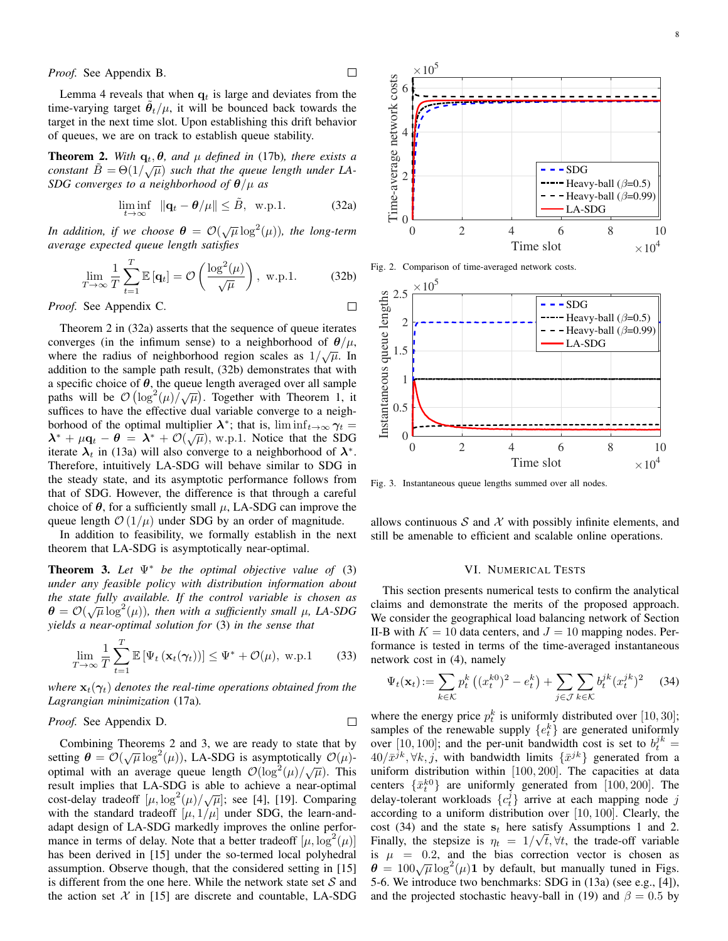*Proof.* See Appendix B.

Lemma 4 reveals that when  $q_t$  is large and deviates from the time-varying target  $\tilde{\theta}_t/\mu$ , it will be bounced back towards the target in the next time slot. Upon establishing this drift behavior of queues, we are on track to establish queue stability.

**Theorem 2.** *With*  $q_t$ ,  $\theta$ , and  $\mu$  *defined in* (17b), *there exists a* **constant**  $\tilde{B} = \Theta(1/\sqrt{\mu})$  such that the queue length under LA-*SDG converges to a neighborhood of* θ/µ *as*

$$
\liminf_{t \to \infty} \|\mathbf{q}_t - \boldsymbol{\theta}/\mu\| \le \tilde{B}, \text{ w.p.1.}
$$
 (32a)

 $\Box$ 

*In addition, if we choose*  $\boldsymbol{\theta} = \mathcal{O}(\sqrt{\mu} \log^2(\mu))$ *, the long-term average expected queue length satisfies*

$$
\lim_{T \to \infty} \frac{1}{T} \sum_{t=1}^{T} \mathbb{E}[\mathbf{q}_t] = \mathcal{O}\left(\frac{\log^2(\mu)}{\sqrt{\mu}}\right), \text{ w.p.1.}
$$
 (32b)

*Proof.* See Appendix C.

Theorem 2 in (32a) asserts that the sequence of queue iterates converges (in the infimum sense) to a neighborhood of  $\theta/\mu$ , where the radius of neighborhood region scales as  $1/\sqrt{\mu}$ . In addition to the sample path result, (32b) demonstrates that with a specific choice of  $\theta$ , the queue length averaged over all sample a specific choice of  $\theta$ , the queue length averaged over an sample<br>paths will be  $\mathcal{O}(\log^2(\mu)/\sqrt{\mu})$ . Together with Theorem 1, it suffices to have the effective dual variable converge to a neighborhood of the optimal multiplier  $\lambda^*$ ; that is,  $\liminf_{t\to\infty} \gamma_t =$ bonnood of the optimal multiplier  $\lambda$ , that is,  $\liminf_{t\to\infty} \frac{y_t}{t} - \lambda^* + \mu q_t - \theta = \lambda^* + \mathcal{O}(\sqrt{\mu})$ , w.p.1. Notice that the SDG iterate  $\lambda_t$  in (13a) will also converge to a neighborhood of  $\lambda^*$ . Therefore, intuitively LA-SDG will behave similar to SDG in the steady state, and its asymptotic performance follows from that of SDG. However, the difference is that through a careful choice of  $\theta$ , for a sufficiently small  $\mu$ , LA-SDG can improve the queue length  $\mathcal{O}(1/\mu)$  under SDG by an order of magnitude.

In addition to feasibility, we formally establish in the next theorem that LA-SDG is asymptotically near-optimal.

Theorem 3. *Let* Ψ<sup>∗</sup> *be the optimal objective value of* (3) *under any feasible policy with distribution information about the state fully available. If the control variable is chosen as*  $\theta = \mathcal{O}(\sqrt{\mu} \log^2(\mu))$ , then with a sufficiently small  $\mu$ , LA-SDG *yields a near-optimal solution for* (3) *in the sense that*

$$
\lim_{T \to \infty} \frac{1}{T} \sum_{t=1}^{T} \mathbb{E} \left[ \Psi_t \left( \mathbf{x}_t(\gamma_t) \right) \right] \le \Psi^* + \mathcal{O}(\mu), \text{ w.p.1}
$$
 (33)

*where*  $\mathbf{x}_t(\gamma_t)$  *denotes the real-time operations obtained from the Lagrangian minimization* (17a)*.*

# *Proof.* See Appendix D.

Combining Theorems 2 and 3, we are ready to state that by setting  $\theta = \mathcal{O}(\sqrt{\mu} \log^2(\mu))$ , LA-SDG is asymptotically  $\mathcal{O}(\mu)$ optimal with an average queue length  $\mathcal{O}(\log^2(\mu)/\sqrt{\mu})$ . This result implies that LA-SDG is able to achieve a near-optimal cost-delay tradeoff  $[\mu, \log^2(\mu)/\sqrt{\mu}]$ ; see [4], [19]. Comparing with the standard tradeoff  $[\mu, 1/\mu]$  under SDG, the learn-andadapt design of LA-SDG markedly improves the online performance in terms of delay. Note that a better tradeoff  $[\mu, \log^2(\mu)]$ has been derived in [15] under the so-termed local polyhedral assumption. Observe though, that the considered setting in [15] is different from the one here. While the network state set  $S$  and



Fig. 2. Comparison of time-averaged network costs.



Fig. 3. Instantaneous queue lengths summed over all nodes.

allows continuous  $S$  and  $X$  with possibly infinite elements, and still be amenable to efficient and scalable online operations.

#### VI. NUMERICAL TESTS

This section presents numerical tests to confirm the analytical claims and demonstrate the merits of the proposed approach. We consider the geographical load balancing network of Section II-B with  $K = 10$  data centers, and  $J = 10$  mapping nodes. Performance is tested in terms of the time-averaged instantaneous network cost in (4), namely

$$
\Psi_t(\mathbf{x}_t) := \sum_{k \in \mathcal{K}} p_t^k \left( (x_t^{k0})^2 - e_t^k \right) + \sum_{j \in \mathcal{J}} \sum_{k \in \mathcal{K}} b_t^{jk} (x_t^{jk})^2 \tag{34}
$$

where the energy price  $p_t^k$  is uniformly distributed over [10, 30]; samples of the renewable supply  $\{e_t^k\}$  are generated uniformly over [10, 100]; and the per-unit bandwidth cost is set to  $b_t^{jk} =$  $40/\bar{x}^{jk}, \forall k, j$ , with bandwidth limits  $\{\bar{x}^{jk}\}\$  generated from a uniform distribution within [100, 200]. The capacities at data centers  $\{\bar{x}_t^{k0}\}\$  are uniformly generated from [100, 200]. The delay-tolerant workloads  $\{c_t^j\}$  arrive at each mapping node j according to a uniform distribution over [10, 100]. Clearly, the cost (34) and the state  $s_t$  here satisfy Assumptions 1 and 2. Finally, the stepsize is  $\eta_t = 1/\sqrt{t}, \forall t$ , the trade-off variable is  $\mu$  = 0.2, and the bias correction vector is chosen as  $\theta = 100\sqrt{\mu} \log^2(\mu)$  by default, but manually tuned in Figs. 5-6. We introduce two benchmarks: SDG in (13a) (see e.g., [4]), and the projected stochastic heavy-ball in (19) and  $\beta = 0.5$  by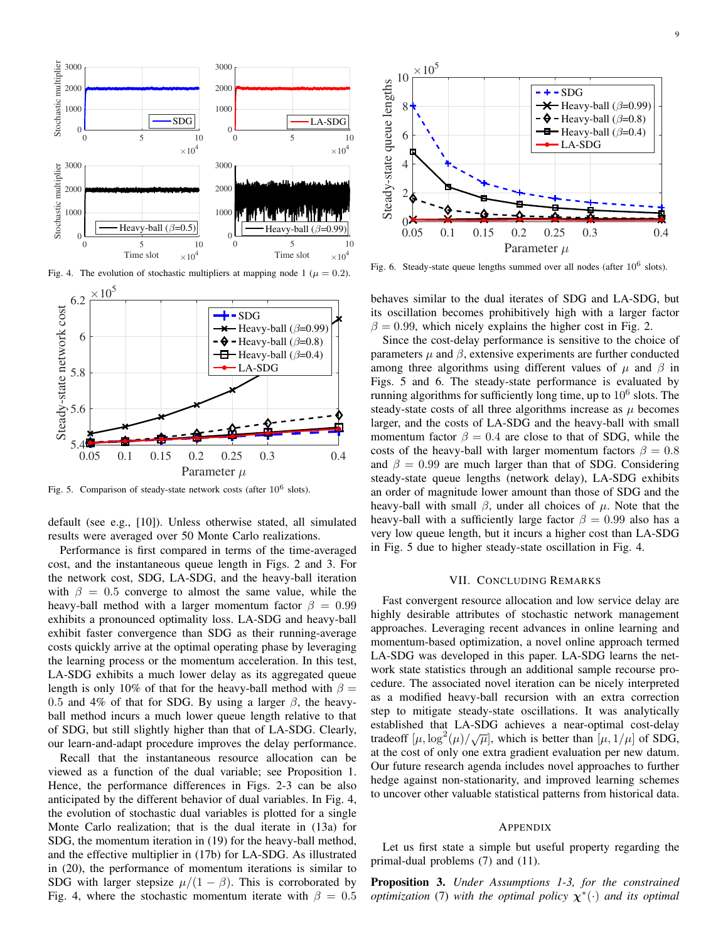

Fig. 4. The evolution of stochastic multipliers at mapping node 1 ( $\mu = 0.2$ ).



Fig. 5. Comparison of steady-state network costs (after  $10^6$  slots).

default (see e.g., [10]). Unless otherwise stated, all simulated results were averaged over 50 Monte Carlo realizations.

Performance is first compared in terms of the time-averaged cost, and the instantaneous queue length in Figs. 2 and 3. For the network cost, SDG, LA-SDG, and the heavy-ball iteration with  $\beta = 0.5$  converge to almost the same value, while the heavy-ball method with a larger momentum factor  $\beta = 0.99$ exhibits a pronounced optimality loss. LA-SDG and heavy-ball exhibit faster convergence than SDG as their running-average costs quickly arrive at the optimal operating phase by leveraging the learning process or the momentum acceleration. In this test, LA-SDG exhibits a much lower delay as its aggregated queue length is only 10% of that for the heavy-ball method with  $\beta =$ 0.5 and 4% of that for SDG. By using a larger  $\beta$ , the heavyball method incurs a much lower queue length relative to that of SDG, but still slightly higher than that of LA-SDG. Clearly, our learn-and-adapt procedure improves the delay performance.

Recall that the instantaneous resource allocation can be viewed as a function of the dual variable; see Proposition 1. Hence, the performance differences in Figs. 2-3 can be also anticipated by the different behavior of dual variables. In Fig. 4, the evolution of stochastic dual variables is plotted for a single Monte Carlo realization; that is the dual iterate in (13a) for SDG, the momentum iteration in (19) for the heavy-ball method, and the effective multiplier in (17b) for LA-SDG. As illustrated in (20), the performance of momentum iterations is similar to SDG with larger stepsize  $\mu/(1 - \beta)$ . This is corroborated by Fig. 4, where the stochastic momentum iterate with  $\beta = 0.5$ 



Fig. 6. Steady-state queue lengths summed over all nodes (after  $10^6$  slots).

behaves similar to the dual iterates of SDG and LA-SDG, but its oscillation becomes prohibitively high with a larger factor  $\beta = 0.99$ , which nicely explains the higher cost in Fig. 2.

Since the cost-delay performance is sensitive to the choice of parameters  $\mu$  and  $\beta$ , extensive experiments are further conducted among three algorithms using different values of  $\mu$  and  $\beta$  in Figs. 5 and 6. The steady-state performance is evaluated by running algorithms for sufficiently long time, up to  $10^6$  slots. The steady-state costs of all three algorithms increase as  $\mu$  becomes larger, and the costs of LA-SDG and the heavy-ball with small momentum factor  $\beta = 0.4$  are close to that of SDG, while the costs of the heavy-ball with larger momentum factors  $\beta = 0.8$ and  $\beta = 0.99$  are much larger than that of SDG. Considering steady-state queue lengths (network delay), LA-SDG exhibits an order of magnitude lower amount than those of SDG and the heavy-ball with small  $\beta$ , under all choices of  $\mu$ . Note that the heavy-ball with a sufficiently large factor  $\beta = 0.99$  also has a very low queue length, but it incurs a higher cost than LA-SDG in Fig. 5 due to higher steady-state oscillation in Fig. 4.

#### VII. CONCLUDING REMARKS

Fast convergent resource allocation and low service delay are highly desirable attributes of stochastic network management approaches. Leveraging recent advances in online learning and momentum-based optimization, a novel online approach termed LA-SDG was developed in this paper. LA-SDG learns the network state statistics through an additional sample recourse procedure. The associated novel iteration can be nicely interpreted as a modified heavy-ball recursion with an extra correction step to mitigate steady-state oscillations. It was analytically established that LA-SDG achieves a near-optimal cost-delay tradeoff  $[\mu, \log^2(\mu)/\sqrt{\mu}]$ , which is better than  $[\mu, 1/\mu]$  of SDG, at the cost of only one extra gradient evaluation per new datum. Our future research agenda includes novel approaches to further hedge against non-stationarity, and improved learning schemes to uncover other valuable statistical patterns from historical data.

#### **APPENDIX**

Let us first state a simple but useful property regarding the primal-dual problems (7) and (11).

Proposition 3. *Under Assumptions 1-3, for the constrained optimization* (7) with the optimal policy  $\chi^*(\cdot)$  and its optimal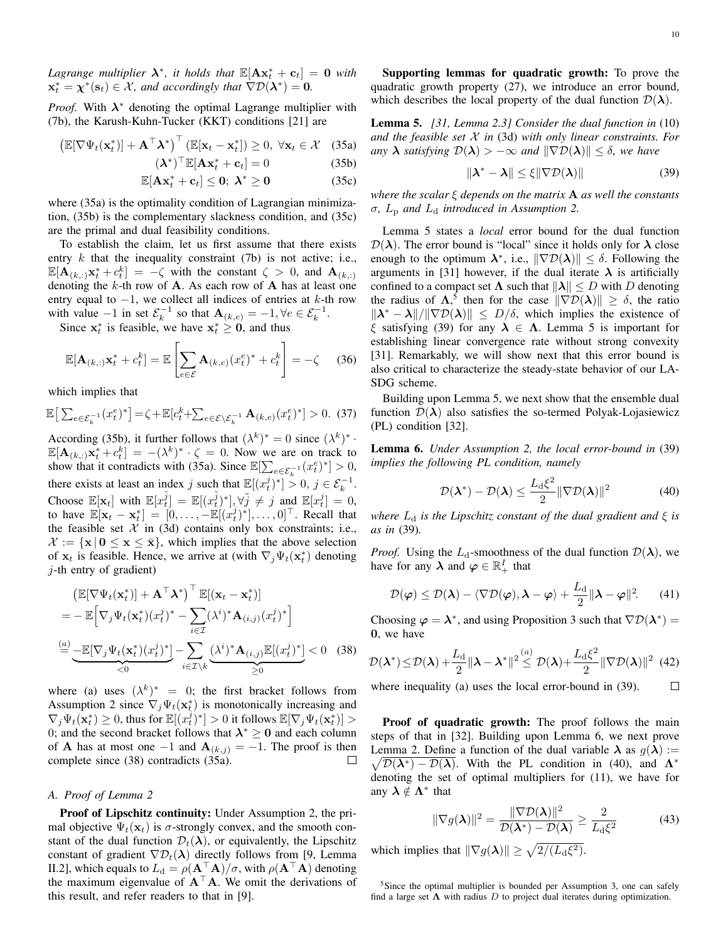Lagrange multiplier  $\lambda^*$ , it holds that  $\mathbb{E}[\mathbf{A}\mathbf{x}_t^* + \mathbf{c}_t] = 0$  with  $\mathbf{x}_t^* = \boldsymbol{\chi}^*(\mathbf{s}_t) \in \mathcal{X}$ , and accordingly that  $\nabla \mathcal{D}(\boldsymbol{\lambda}^*) = \mathbf{0}$ .

*Proof.* With  $\lambda^*$  denoting the optimal Lagrange multiplier with (7b), the Karush-Kuhn-Tucker (KKT) conditions [21] are

$$
\left(\mathbb{E}[\nabla\Psi_t(\mathbf{x}_t^*)] + \mathbf{A}^\top \boldsymbol{\lambda}^*\right)^\top \left(\mathbb{E}[\mathbf{x}_t - \mathbf{x}_t^*]\right) \ge 0, \ \forall \mathbf{x}_t \in \mathcal{X} \quad (35a)
$$
\n
$$
\left(\mathbf{\lambda}^*\right)^\top \mathbb{E}[\mathbf{\lambda} \mathbf{x}^* + \mathbf{a}] = 0 \tag{35b}
$$

$$
(\boldsymbol{\lambda}^*)^\top \mathbb{E}[\mathbf{A}\mathbf{x}_t^* + \mathbf{c}_t] = 0 \tag{35b}
$$

$$
\mathbb{E}[\mathbf{A}\mathbf{x}_t^* + \mathbf{c}_t] \leq 0; \ \lambda^* \geq 0 \tag{35c}
$$

where (35a) is the optimality condition of Lagrangian minimization, (35b) is the complementary slackness condition, and (35c) are the primal and dual feasibility conditions.

To establish the claim, let us first assume that there exists entry  $k$  that the inequality constraint (7b) is not active; i.e.,  $\mathbb{E}[\mathbf{A}_{(k,:)}\mathbf{x}_{t}^{*}+c_{t}^{k}] = -\zeta$  with the constant  $\zeta > 0$ , and  $\mathbf{A}_{(k,:)}$ denoting the  $k$ -th row of  $A$ . As each row of  $A$  has at least one entry equal to  $-1$ , we collect all indices of entries at k-th row with value  $-1$  in set  $\mathcal{E}_k^{-1}$  so that  $\mathbf{A}_{(k,e)} = -1, \forall e \in \mathcal{E}_k^{-1}$ .

Since  $x_t^*$  is feasible, we have  $x_t^* \geq 0$ , and thus

$$
\mathbb{E}[\mathbf{A}_{(k, t)}\mathbf{x}_t^* + c_t^k] = \mathbb{E}\left[\sum_{e \in \mathcal{E}} \mathbf{A}_{(k, e)}(x_t^e)^* + c_t^k\right] = -\zeta \quad (36)
$$

which implies that

$$
\mathbb{E}\left[\sum_{e\in\mathcal{E}_k^{-1}}(x_t^e)^*\right] = \zeta + \mathbb{E}[c_t^k + \sum_{e\in\mathcal{E}\setminus\mathcal{E}_k^{-1}} \mathbf{A}_{(k,e)}(x_t^e)^*] > 0. \tag{37}
$$

According (35b), it further follows that  $(\lambda^k)^* = 0$  since  $(\lambda^k)^*$ .  $\mathbb{E}[\mathbf{A}_{(k,:)}\mathbf{x}_{t}^{*}+c_{t}^{k}]=-(\lambda^{k})^{*}\cdot\zeta=0.$  Now we are on track to show that it contradicts with (35a). Since  $\mathbb{E}[\sum_{e \in \mathcal{E}_k^{-1}} (x_t^e)^*] > 0$ , there exists at least an index j such that  $\mathbb{E}[(x_t^j)^*] > 0, j \in \mathcal{E}_k^{-1}$ . Choose  $\mathbb{E}[\mathbf{x}_t]$  with  $\mathbb{E}[x_t^{\tilde{j}}] = \mathbb{E}[(x_t^{\tilde{j}})^*], \forall \tilde{j} \neq j$  and  $\mathbb{E}[x_t^j] = 0$ , to have  $\mathbb{E}[\mathbf{x}_t - \mathbf{x}_t^*] = [0, \dots, -\mathbb{E}[(x_t^j)^*], \dots, 0]^\top$ . Recall that the feasible set  $X$  in (3d) contains only box constraints; i.e.,  $\mathcal{X} := \{ \mathbf{x} \mid \mathbf{0} \leq \mathbf{x} \leq \bar{\mathbf{x}} \},\$  which implies that the above selection of  $\mathbf{x}_t$  is feasible. Hence, we arrive at (with  $\nabla_j \Psi_t(\mathbf{x}_t^*)$  denoting  $j$ -th entry of gradient)

$$
\begin{aligned}\n& \left( \mathbb{E}[\nabla \Psi_t(\mathbf{x}_t^*)] + \mathbf{A}^\top \mathbf{\lambda}^* \right)^\top \mathbb{E}[(\mathbf{x}_t - \mathbf{x}_t^*)] \\
&= -\mathbb{E}\Big[\nabla_j \Psi_t(\mathbf{x}_t^*) (x_t^j)^* - \sum_{i \in \mathcal{I}} (\lambda^i)^* \mathbf{A}_{(i,j)} (x_t^j)^* \Big] \\
& \stackrel{(a)}{=} \underbrace{-\mathbb{E}[\nabla_j \Psi_t(\mathbf{x}_t^*) (x_t^j)^*]}_{< 0} - \sum_{i \in \mathcal{I} \setminus k} \underbrace{(\lambda^i)^* \mathbf{A}_{(i,j)} \mathbb{E}[(x_t^j)^*]}_{\geq 0} < 0 \quad (38)\n\end{aligned}
$$

where (a) uses  $(\lambda^k)^* = 0$ ; the first bracket follows from Assumption 2 since  $\nabla_j \Psi_t(\mathbf{x}_t^*)$  is monotonically increasing and  $\nabla_j \Psi_t(\mathbf{x}_t^*) \ge 0$ , thus for  $\mathbb{E}[(x_t^j)^*] > 0$  it follows  $\mathbb{E}[\nabla_j \Psi_t(\mathbf{x}_t^*)] > 0$ 0; and the second bracket follows that  $\lambda^* \geq 0$  and each column of **A** has at most one  $-1$  and  $\mathbf{A}_{(k,j)} = -1$ . The proof is then complete since (38) contradicts (35a).  $\Box$ 

# *A. Proof of Lemma 2*

Proof of Lipschitz continuity: Under Assumption 2, the primal objective  $\Psi_t(\mathbf{x}_t)$  is  $\sigma$ -strongly convex, and the smooth constant of the dual function  $\mathcal{D}_t(\lambda)$ , or equivalently, the Lipschitz constant of gradient  $\nabla \mathcal{D}_t(\lambda)$  directly follows from [9, Lemma II.2], which equals to  $L_d = \rho(\mathbf{A}^\top \mathbf{A})/\sigma$ , with  $\rho(\mathbf{A}^\top \mathbf{A})$  denoting the maximum eigenvalue of  $A^{\top}A$ . We omit the derivations of this result, and refer readers to that in [9].

Supporting lemmas for quadratic growth: To prove the quadratic growth property (27), we introduce an error bound, which describes the local property of the dual function  $\mathcal{D}(\lambda)$ .

Lemma 5. *[31, Lemma 2.3] Consider the dual function in* (10) *and the feasible set* X *in* (3d) *with only linear constraints. For any*  $\lambda$  *satisfying*  $\mathcal{D}(\lambda) > -\infty$  *and*  $\|\nabla \mathcal{D}(\lambda)\| \leq \delta$ *, we have* 

$$
\|\lambda^* - \lambda\| \le \xi \|\nabla \mathcal{D}(\lambda)\| \tag{39}
$$

*where the scalar* ξ *depends on the matrix* A *as well the constants*  $\sigma$ ,  $L_p$  *and*  $L_d$  *introduced in Assumption 2.* 

Lemma 5 states a *local* error bound for the dual function  $\mathcal{D}(\lambda)$ . The error bound is "local" since it holds only for  $\lambda$  close enough to the optimum  $\lambda^*$ , i.e.,  $\|\nabla \mathcal{D}(\lambda)\| \leq \delta$ . Following the arguments in [31] however, if the dual iterate  $\lambda$  is artificially confined to a compact set  $\Lambda$  such that  $\|\lambda\| \leq D$  with D denoting the radius of  $\Lambda$ ,<sup>5</sup> then for the case  $\|\nabla \mathcal{D}(\lambda)\| \geq \delta$ , the ratio  $\|\lambda^* - \lambda\|/\|\nabla \mathcal{D}(\lambda)\| \leq D/\delta$ , which implies the existence of ξ satisfying (39) for any  $\lambda \in \Lambda$ . Lemma 5 is important for establishing linear convergence rate without strong convexity [31]. Remarkably, we will show next that this error bound is also critical to characterize the steady-state behavior of our LA-SDG scheme.

Building upon Lemma 5, we next show that the ensemble dual function  $\mathcal{D}(\lambda)$  also satisfies the so-termed Polyak-Lojasiewicz (PL) condition [32].

Lemma 6. *Under Assumption 2, the local error-bound in* (39) *implies the following PL condition, namely*

$$
\mathcal{D}(\boldsymbol{\lambda}^*) - \mathcal{D}(\boldsymbol{\lambda}) \le \frac{L_d \xi^2}{2} \|\nabla \mathcal{D}(\boldsymbol{\lambda})\|^2 \tag{40}
$$

*where*  $L_d$  *is the Lipschitz constant of the dual gradient and*  $\xi$  *is as in* (39)*.*

*Proof.* Using the  $L_d$ -smoothness of the dual function  $\mathcal{D}(\lambda)$ , we have for any  $\lambda$  and  $\varphi \in \mathbb{R}^I_+$  that

$$
\mathcal{D}(\varphi) \le \mathcal{D}(\boldsymbol{\lambda}) - \langle \nabla \mathcal{D}(\varphi), \boldsymbol{\lambda} - \varphi \rangle + \frac{L_{\mathrm{d}}}{2} \|\boldsymbol{\lambda} - \varphi\|^{2}.
$$
 (41)

Choosing  $\varphi = \lambda^*$ , and using Proposition 3 such that  $\nabla \mathcal{D}(\lambda^*) =$ 0, we have

$$
\mathcal{D}(\boldsymbol{\lambda}^*) \leq \mathcal{D}(\boldsymbol{\lambda}) + \frac{L_{\mathrm{d}}}{2} \|\boldsymbol{\lambda} - \boldsymbol{\lambda}^*\|^2 \overset{(a)}{\leq} \mathcal{D}(\boldsymbol{\lambda}) + \frac{L_{\mathrm{d}}\xi^2}{2} \|\nabla \mathcal{D}(\boldsymbol{\lambda})\|^2 \tag{42}
$$

where inequality (a) uses the local error-bound in (39).  $\Box$ 

Proof of quadratic growth: The proof follows the main steps of that in [32]. Building upon Lemma 6, we next prove  $\sqrt{\mathcal{D}(\lambda^*) - \mathcal{D}(\lambda)}$ . With the PL condition in (40), and  $\Lambda^*$ Lemma 2. Define a function of the dual variable  $\lambda$  as  $g(\lambda) :=$ denoting the set of optimal multipliers for (11), we have for any  $\lambda \notin \Lambda^*$  that

$$
\|\nabla g(\boldsymbol{\lambda})\|^2 = \frac{\|\nabla \mathcal{D}(\boldsymbol{\lambda})\|^2}{\mathcal{D}(\boldsymbol{\lambda}^*) - \mathcal{D}(\boldsymbol{\lambda})} \ge \frac{2}{L_d \xi^2}
$$
(43)

which implies that  $\|\nabla g(\boldsymbol{\lambda})\| \ge \sqrt{2/(L_{\mathrm{d}}\xi^2)}$ .

<sup>5</sup>Since the optimal multiplier is bounded per Assumption 3, one can safely find a large set  $\Lambda$  with radius D to project dual iterates during optimization.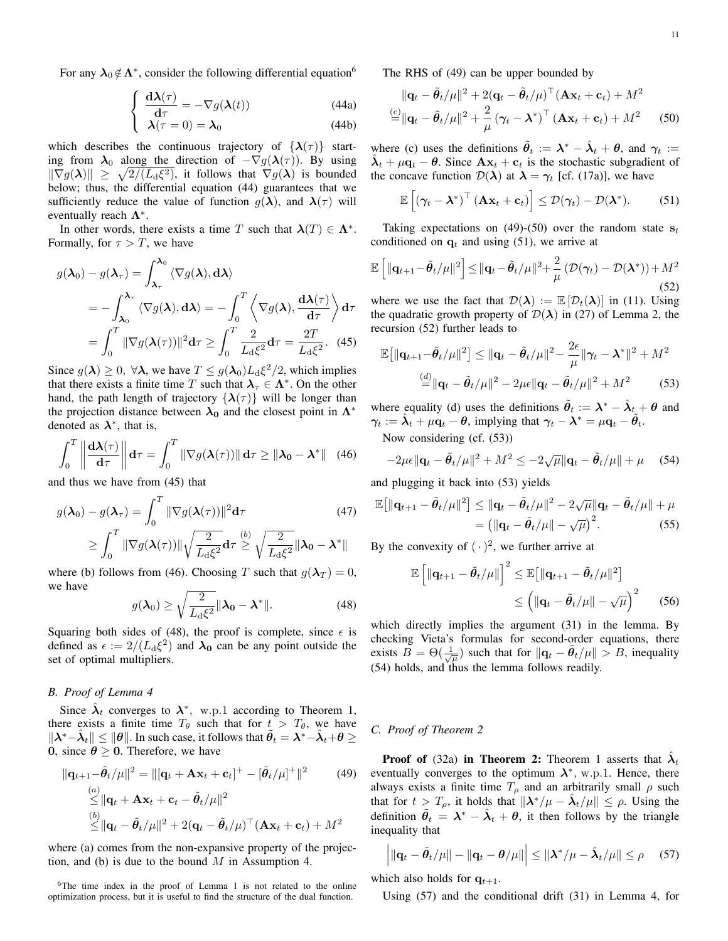For any  $\lambda_0 \notin \Lambda^*$ , consider the following differential equation<sup>6</sup>

$$
\begin{cases} \frac{\mathrm{d}\lambda(\tau)}{\mathrm{d}\tau} = -\nabla g(\lambda(t)) \end{cases} \tag{44a}
$$

$$
\lambda(\tau = 0) = \lambda_0 \tag{44b}
$$

which describes the continuous trajectory of  $\{\lambda(\tau)\}\$  starting from  $\lambda_0$  along the direction of  $-\nabla g(\lambda(\tau))$ . By using  $\|\nabla g(\boldsymbol{\lambda})\| \geq \sqrt{2/(L_{\rm d}\xi^2)}$ , it follows that  $\nabla g(\boldsymbol{\lambda})$  is bounded below; thus, the differential equation (44) guarantees that we sufficiently reduce the value of function  $g(\lambda)$ , and  $\lambda(\tau)$  will eventually reach  $\Lambda^*$ .

In other words, there exists a time T such that  $\lambda(T) \in \Lambda^*$ . Formally, for  $\tau > T$ , we have

$$
g(\lambda_0) - g(\lambda_\tau) = \int_{\lambda_\tau}^{\lambda_0} \langle \nabla g(\lambda), \mathbf{d}\lambda \rangle
$$
  
=  $-\int_{\lambda_0}^{\lambda_\tau} \langle \nabla g(\lambda), \mathbf{d}\lambda \rangle = -\int_0^T \left\langle \nabla g(\lambda), \frac{\mathbf{d}\lambda(\tau)}{\mathbf{d}\tau} \right\rangle \mathbf{d}\tau$   
=  $\int_0^T \|\nabla g(\lambda(\tau))\|^2 \mathbf{d}\tau \ge \int_0^T \frac{2}{L_d \xi^2} \mathbf{d}\tau = \frac{2T}{L_d \xi^2}.$  (45)

Since  $g(\lambda) \ge 0$ ,  $\forall \lambda$ , we have  $T \le g(\lambda_0) L_d \xi^2/2$ , which implies that there exists a finite time T such that  $\lambda_{\tau} \in \Lambda^*$ . On the other hand, the path length of trajectory  $\{\lambda(\tau)\}\$  will be longer than the projection distance between  $\lambda_0$  and the closest point in  $\Lambda^*$ denoted as  $\lambda^*$ , that is,

$$
\int_0^T \left\| \frac{\mathrm{d}\lambda(\tau)}{\mathrm{d}\tau} \right\| \mathrm{d}\tau = \int_0^T \|\nabla g(\lambda(\tau))\| \mathrm{d}\tau \ge \|\lambda_0 - \lambda^*\| \quad (46)
$$

and thus we have from (45) that

$$
g(\boldsymbol{\lambda}_0) - g(\boldsymbol{\lambda}_\tau) = \int_0^T \|\nabla g(\boldsymbol{\lambda}(\tau))\|^2 d\tau
$$
(47)  

$$
\geq \int_0^T \|\nabla g(\boldsymbol{\lambda}(\tau))\| \sqrt{\frac{2}{L_d \xi^2}} d\tau \stackrel{(b)}{\geq} \sqrt{\frac{2}{L_d \xi^2}} \|\boldsymbol{\lambda}_0 - \boldsymbol{\lambda}^*\|
$$

where (b) follows from (46). Choosing T such that  $g(\lambda_T) = 0$ , we have

$$
g(\boldsymbol{\lambda}_0) \ge \sqrt{\frac{2}{L_d \xi^2}} ||\boldsymbol{\lambda}_0 - \boldsymbol{\lambda}^*||. \tag{48}
$$

Squaring both sides of (48), the proof is complete, since  $\epsilon$  is defined as  $\epsilon := 2/(L_d \xi^2)$  and  $\lambda_0$  can be any point outside the set of optimal multipliers.

# *B. Proof of Lemma 4*

Since  $\hat{\lambda}_t$  converges to  $\lambda^*$ , w.p.1 according to Theorem 1, there exists a finite time  $T_\theta$  such that for  $t > T_\theta$ , we have  $\|\lambda^*-\hat{\lambda}_t\|\leq \|\theta\|.$  In such case, it follows that  $\tilde{\theta}_t=\lambda^*-\hat{\lambda}_t+\theta\geq 0$ 0, since  $\theta \geq 0$ . Therefore, we have

$$
\|\mathbf{q}_{t+1} - \tilde{\boldsymbol{\theta}}_t / \mu\|^2 = \|[\mathbf{q}_t + \mathbf{A}\mathbf{x}_t + \mathbf{c}_t]^+ - [\tilde{\boldsymbol{\theta}}_t / \mu]^+ \|^2 \qquad (49)
$$
  
\n
$$
\leq \|\mathbf{q}_t + \mathbf{A}\mathbf{x}_t + \mathbf{c}_t - \tilde{\boldsymbol{\theta}}_t / \mu\|^2
$$
  
\n
$$
\leq \|\mathbf{q}_t - \tilde{\boldsymbol{\theta}}_t / \mu\|^2 + 2(\mathbf{q}_t - \tilde{\boldsymbol{\theta}}_t / \mu)^{\top} (\mathbf{A}\mathbf{x}_t + \mathbf{c}_t) + M^2
$$

where (a) comes from the non-expansive property of the projection, and (b) is due to the bound  $M$  in Assumption 4.

The RHS of (49) can be upper bounded by

$$
\|\mathbf{q}_t - \tilde{\boldsymbol{\theta}}_t / \mu\|^2 + 2(\mathbf{q}_t - \tilde{\boldsymbol{\theta}}_t / \mu)^\top (\mathbf{A}\mathbf{x}_t + \mathbf{c}_t) + M^2
$$
  

$$
\stackrel{(c)}{=} \|\mathbf{q}_t - \tilde{\boldsymbol{\theta}}_t / \mu\|^2 + \frac{2}{\mu} (\boldsymbol{\gamma}_t - \boldsymbol{\lambda}^*)^\top (\mathbf{A}\mathbf{x}_t + \mathbf{c}_t) + M^2
$$
 (50)

where (c) uses the definitions  $\tilde{\theta}_t := \lambda^* - \hat{\lambda}_t + \theta$ , and  $\gamma_t :=$  $\hat{\lambda}_t + \mu \hat{\mathbf{q}}_t - \theta$ . Since  $\mathbf{A}\mathbf{x}_t + \mathbf{c}_t$  is the stochastic subgradient of the concave function  $\mathcal{D}(\lambda)$  at  $\lambda = \gamma_t$  [cf. (17a)], we have

$$
\mathbb{E}\left[\left(\boldsymbol{\gamma}_t-\boldsymbol{\lambda}^*\right)^{\top}\left(\mathbf{A}\mathbf{x}_t+\mathbf{c}_t\right)\right] \leq \mathcal{D}(\boldsymbol{\gamma}_t)-\mathcal{D}(\boldsymbol{\lambda}^*). \hspace{1cm} (51)
$$

Taking expectations on (49)-(50) over the random state  $s_t$ conditioned on  $q_t$  and using (51), we arrive at

$$
\mathbb{E}\left[\|\mathbf{q}_{t+1}-\tilde{\boldsymbol{\theta}}_t/\mu\|^2\right] \leq \|\mathbf{q}_t-\tilde{\boldsymbol{\theta}}_t/\mu\|^2 + \frac{2}{\mu}\left(\mathcal{D}(\boldsymbol{\gamma}_t)-\mathcal{D}(\boldsymbol{\lambda}^*)\right) + M^2
$$
\n(52)

where we use the fact that  $\mathcal{D}(\lambda) := \mathbb{E} [\mathcal{D}_t(\lambda)]$  in (11). Using the quadratic growth property of  $\mathcal{D}(\lambda)$  in (27) of Lemma 2, the recursion (52) further leads to

$$
\mathbb{E}\left[\|\mathbf{q}_{t+1}-\tilde{\boldsymbol{\theta}}_t/\mu\|^2\right] \leq \|\mathbf{q}_t-\tilde{\boldsymbol{\theta}}_t/\mu\|^2 - \frac{2\epsilon}{\mu}\|\boldsymbol{\gamma}_t-\boldsymbol{\lambda}^*\|^2 + M^2
$$

$$
\stackrel{(d)}{=} \|\mathbf{q}_t-\tilde{\boldsymbol{\theta}}_t/\mu\|^2 - 2\mu\epsilon\|\mathbf{q}_t-\tilde{\boldsymbol{\theta}}_t/\mu\|^2 + M^2 \tag{53}
$$

where equality (d) uses the definitions  $\tilde{\theta}_t := \lambda^* - \hat{\lambda}_t + \theta$  and  $\gamma_t := \hat{\lambda}_t + \mu \mathbf{q}_t - \theta$ , implying that  $\gamma_t - \lambda^* = \mu \mathbf{q}_t - \tilde{\theta}_t$ .

Now considering (cf. (53))

$$
-2\mu\epsilon \|\mathbf{q}_t - \tilde{\boldsymbol{\theta}}_t/\mu\|^2 + M^2 \le -2\sqrt{\mu}\|\mathbf{q}_t - \tilde{\boldsymbol{\theta}}_t/\mu\| + \mu \quad (54)
$$

and plugging it back into (53) yields

$$
\mathbb{E}\big[\|\mathbf{q}_{t+1}-\tilde{\boldsymbol{\theta}}_t/\mu\|^2\big] \leq \|\mathbf{q}_t-\tilde{\boldsymbol{\theta}}_t/\mu\|^2 - 2\sqrt{\mu}\|\mathbf{q}_t-\tilde{\boldsymbol{\theta}}_t/\mu\| + \mu
$$

$$
= \big(\|\mathbf{q}_t-\tilde{\boldsymbol{\theta}}_t/\mu\| - \sqrt{\mu}\big)^2. \tag{55}
$$

By the convexity of  $(\cdot)^2$ , we further arrive at

$$
\mathbb{E}\left[\|\mathbf{q}_{t+1}-\tilde{\boldsymbol{\theta}}_t/\mu\|\right]^2 \leq \mathbb{E}\left[\|\mathbf{q}_{t+1}-\tilde{\boldsymbol{\theta}}_t/\mu\|^2\right] \leq \left(\|\mathbf{q}_t-\tilde{\boldsymbol{\theta}}_t/\mu\|-\sqrt{\mu}\right)^2 \qquad (56)
$$

which directly implies the argument (31) in the lemma. By checking Vieta's formulas for second-order equations, there exists  $\tilde{B} = \Theta(\frac{1}{\sqrt{\mu}})$  such that for  $\|\mathbf{q}_t - \tilde{\theta}_t/\mu\| > B$ , inequality (54) holds, and thus the lemma follows readily.

#### *C. Proof of Theorem 2*

**Proof of** (32a) in Theorem 2: Theorem 1 asserts that  $\hat{\lambda}_t$ eventually converges to the optimum  $\lambda^*$ , w.p.1. Hence, there always exists a finite time  $T_{\rho}$  and an arbitrarily small  $\rho$  such that for  $t > T_\rho$ , it holds that  $\|\lambda^*/\mu - \hat{\lambda}_t/\mu\| \leq \rho$ . Using the definition  $\tilde{\theta}_t = \lambda^* - \hat{\lambda}_t + \theta$ , it then follows by the triangle inequality that

$$
\left| \|\mathbf{q}_t - \tilde{\boldsymbol{\theta}}_t/\mu\| - \|\mathbf{q}_t - \boldsymbol{\theta}/\mu\| \right| \leq \|\boldsymbol{\lambda}^*/\mu - \hat{\boldsymbol{\lambda}}_t/\mu\| \leq \rho \quad (57)
$$

which also holds for  $q_{t+1}$ .

Using (57) and the conditional drift (31) in Lemma 4, for

<sup>6</sup>The time index in the proof of Lemma 1 is not related to the online optimization process, but it is useful to find the structure of the dual function.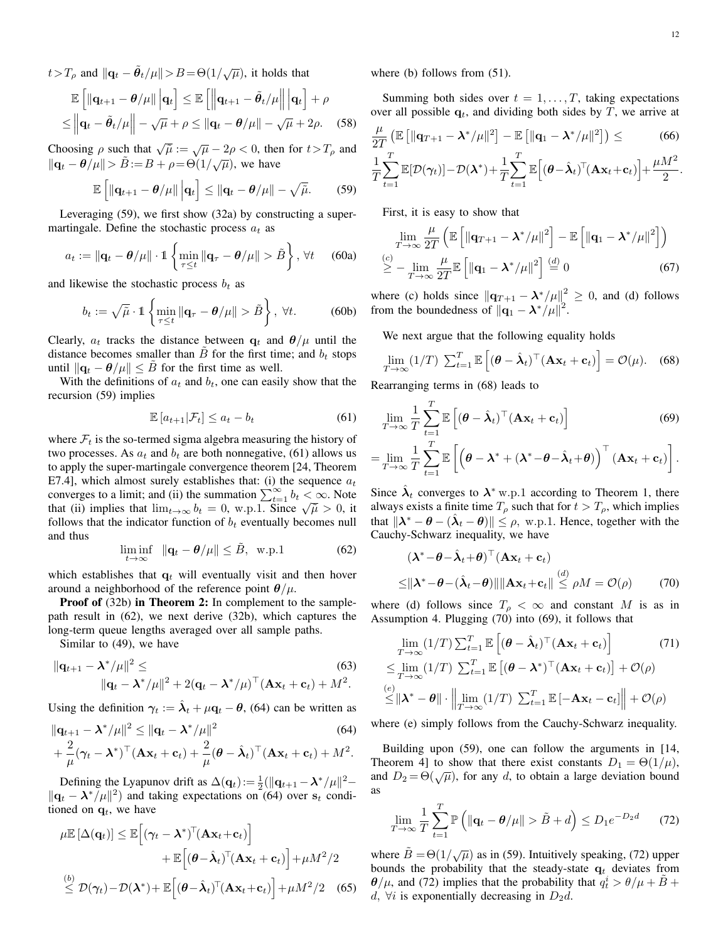$t > T_\rho$  and  $\|\mathbf{q}_t - \tilde{\theta}_t/\mu\| > B = \Theta(1/\sqrt{\mu})$ , it holds that

$$
\mathbb{E}\left[\left\|\mathbf{q}_{t+1}-\boldsymbol{\theta}/\mu\right\|\big|\mathbf{q}_t\right] \leq \mathbb{E}\left[\left\|\mathbf{q}_{t+1}-\tilde{\boldsymbol{\theta}}_t/\mu\right\|\big|\mathbf{q}_t\right] + \rho
$$
  

$$
\leq \left\|\mathbf{q}_t - \tilde{\boldsymbol{\theta}}_t/\mu\right\| - \sqrt{\mu} + \rho \leq \left\|\mathbf{q}_t - \boldsymbol{\theta}/\mu\right\| - \sqrt{\mu} + 2\rho.
$$
 (58)

Choosing  $\rho$  such that  $\sqrt{\tilde{\mu}} := \sqrt{\mu} - 2\rho < 0$ , then for  $t > T_\rho$  and  $\|\mathbf{q}_t - \theta/\mu\| > \tilde{B} := B + \rho = \Theta(1/\sqrt{\mu})$ , we have

$$
\mathbb{E}\left[\left\|\mathbf{q}_{t+1}-\boldsymbol{\theta}/\mu\right\|\big|\mathbf{q}_t\right] \leq \left\|\mathbf{q}_t-\boldsymbol{\theta}/\mu\right\|-\sqrt{\tilde{\mu}}.\qquad(59)
$$

Leveraging (59), we first show (32a) by constructing a supermartingale. Define the stochastic process  $a_t$  as

$$
a_t := \|\mathbf{q}_t - \boldsymbol{\theta}/\mu\| \cdot \mathbb{1} \left\{ \min_{\tau \le t} \|\mathbf{q}_\tau - \boldsymbol{\theta}/\mu\| > \tilde{B} \right\}, \forall t \quad (60a)
$$

and likewise the stochastic process  $b_t$  as

$$
b_t := \sqrt{\tilde{\mu}} \cdot \mathbb{1} \left\{ \min_{\tau \le t} \|\mathbf{q}_{\tau} - \theta/\mu\| > \tilde{B} \right\}, \ \forall t. \tag{60b}
$$

Clearly,  $a_t$  tracks the distance between  $q_t$  and  $\theta/\mu$  until the distance becomes smaller than  $B$  for the first time; and  $b_t$  stops until  $||\mathbf{q}_t - \theta / \mu||$  ≤ B for the first time as well.

With the definitions of  $a_t$  and  $b_t$ , one can easily show that the recursion (59) implies

$$
\mathbb{E}\left[a_{t+1}|\mathcal{F}_t\right] \le a_t - b_t \tag{61}
$$

where  $\mathcal{F}_t$  is the so-termed sigma algebra measuring the history of two processes. As  $a_t$  and  $b_t$  are both nonnegative, (61) allows us to apply the super-martingale convergence theorem [24, Theorem E7.4], which almost surely establishes that: (i) the sequence  $a_t$ converges to a limit; and (ii) the summation  $\sum_{t=1}^{\infty} b_t < \infty$ . Note that (ii) implies that  $\lim_{t\to\infty} b_t = 0$ , w.p.1. Since  $\sqrt{\tilde{\mu}} > 0$ , it follows that the indicator function of  $b_t$  eventually becomes null and thus

$$
\liminf_{t \to \infty} \|\mathbf{q}_t - \boldsymbol{\theta}/\mu\| \le \tilde{B}, \text{ w.p.1}
$$
 (62)

which establishes that  $q_t$  will eventually visit and then hover around a neighborhood of the reference point  $\theta/\mu$ .

Proof of (32b) in Theorem 2: In complement to the samplepath result in (62), we next derive (32b), which captures the long-term queue lengths averaged over all sample paths.

Similar to (49), we have

$$
\|\mathbf{q}_{t+1} - \boldsymbol{\lambda}^*/\mu\|^2 \leq \tag{63}
$$
  

$$
\|\mathbf{q}_t - \boldsymbol{\lambda}^*/\mu\|^2 + 2(\mathbf{q}_t - \boldsymbol{\lambda}^*/\mu)^\top (\mathbf{A}\mathbf{x}_t + \mathbf{c}_t) + M^2.
$$

Using the definition  $\gamma_t := \hat{\lambda}_t + \mu \mathbf{q}_t - \theta$ , (64) can be written as

$$
\|\mathbf{q}_{t+1} - \boldsymbol{\lambda}^*/\mu\|^2 \leq \|\mathbf{q}_t - \boldsymbol{\lambda}^*/\mu\|^2
$$
\n
$$
+ \frac{2}{\mu}(\gamma_t - \boldsymbol{\lambda}^*)^\top (\mathbf{A}\mathbf{x}_t + \mathbf{c}_t) + \frac{2}{\mu}(\boldsymbol{\theta} - \hat{\boldsymbol{\lambda}}_t)^\top (\mathbf{A}\mathbf{x}_t + \mathbf{c}_t) + M^2.
$$
\n(64)

Defining the Lyapunov drift as  $\Delta(\mathbf{q}_t) := \frac{1}{2}(\|\mathbf{q}_{t+1} - \lambda^*/\mu\|^2 \|\mathbf{q}_t - \boldsymbol{\lambda}^*/\boldsymbol{\mu}\|^2$  and taking expectations on (64) over  $\mathbf{s}_t$  conditioned on  $q_t$ , we have

$$
\mu \mathbb{E} [\Delta(\mathbf{q}_t)] \leq \mathbb{E} [(\gamma_t - \boldsymbol{\lambda}^*)^{\top} (\mathbf{A} \mathbf{x}_t + \mathbf{c}_t)] \n+ \mathbb{E} [(\boldsymbol{\theta} - \hat{\boldsymbol{\lambda}}_t)^{\top} (\mathbf{A} \mathbf{x}_t + \mathbf{c}_t)] + \mu M^2 / 2 \n\overset{(b)}{\leq} \mathcal{D}(\gamma_t) - \mathcal{D}(\boldsymbol{\lambda}^*) + \mathbb{E} [(\boldsymbol{\theta} - \hat{\boldsymbol{\lambda}}_t)^{\top} (\mathbf{A} \mathbf{x}_t + \mathbf{c}_t)] + \mu M^2 / 2 \quad (65)
$$

where (b) follows from  $(51)$ .

Summing both sides over  $t = 1, \ldots, T$ , taking expectations over all possible  $q_t$ , and dividing both sides by T, we arrive at

$$
\frac{\mu}{2T} \left( \mathbb{E} \left[ \|\mathbf{q}_{T+1} - \boldsymbol{\lambda}^*/\mu\|^2 \right] - \mathbb{E} \left[ \|\mathbf{q}_1 - \boldsymbol{\lambda}^*/\mu\|^2 \right] \right) \leq \qquad (66)
$$
\n
$$
\frac{1}{T} \sum_{t=1}^T \mathbb{E} [\mathcal{D}(\gamma_t)] - \mathcal{D}(\boldsymbol{\lambda}^*) + \frac{1}{T} \sum_{t=1}^T \mathbb{E} \left[ (\boldsymbol{\theta} - \hat{\boldsymbol{\lambda}}_t)^T (\mathbf{A} \mathbf{x}_t + \mathbf{c}_t) \right] + \frac{\mu M^2}{2}.
$$

First, it is easy to show that

$$
\lim_{T \to \infty} \frac{\mu}{2T} \left( \mathbb{E} \left[ \|\mathbf{q}_{T+1} - \boldsymbol{\lambda}^* / \mu\|^2 \right] - \mathbb{E} \left[ \|\mathbf{q}_1 - \boldsymbol{\lambda}^* / \mu\|^2 \right] \right)
$$
\n
$$
\stackrel{(c)}{\geq} - \lim_{T \to \infty} \frac{\mu}{2T} \mathbb{E} \left[ \|\mathbf{q}_1 - \boldsymbol{\lambda}^* / \mu\|^2 \right] \stackrel{(d)}{=} 0 \tag{67}
$$

where (c) holds since  $||\mathbf{q}_{T+1} - \lambda^* / \mu||^2 \geq 0$ , and (d) follows from the boundedness of  $\|\mathbf{q}_1 - \boldsymbol{\lambda}^*/\mu\|^2$ .

We next argue that the following equality holds

$$
\lim_{T \to \infty} (1/T) \sum_{t=1}^{T} \mathbb{E} \left[ (\boldsymbol{\theta} - \hat{\boldsymbol{\lambda}}_t)^{\top} (\mathbf{A} \mathbf{x}_t + \mathbf{c}_t) \right] = \mathcal{O}(\mu). \quad (68)
$$

Rearranging terms in (68) leads to

$$
\lim_{T \to \infty} \frac{1}{T} \sum_{t=1}^{T} \mathbb{E} \left[ (\boldsymbol{\theta} - \hat{\boldsymbol{\lambda}}_t)^{\top} (\mathbf{A} \mathbf{x}_t + \mathbf{c}_t) \right]
$$
(69)  
= 
$$
\lim_{t \to \infty} \frac{1}{T} \sum_{t=1}^{T} \mathbb{E} \left[ (\boldsymbol{\theta} - \boldsymbol{\lambda}^* + (\boldsymbol{\lambda}^* - \boldsymbol{\theta} - \hat{\boldsymbol{\lambda}}_t + \boldsymbol{\theta}))^{\top} (\mathbf{A} \mathbf{x}_t + \mathbf{c}_t) \right].
$$

$$
T_{T\to\infty} T_{t=1} \left[ \begin{pmatrix} 0 & 0 & \sqrt{t+1} & 0 \\ 0 & 0 & \sqrt{t+1} & 0 \end{pmatrix} \right] \cdot
$$
  
Since  $\hat{\lambda}_t$  converges to  $\lambda^*$  w.p.1 according to Theorem 1, there

always exists a finite time  $T_\rho$  such that for  $t > T_\rho$ , which implies that  $\|\lambda^* - \theta - (\hat{\lambda}_t - \theta)\| \le \rho$ , w.p.1. Hence, together with the Cauchy-Schwarz inequality, we have

$$
(\mathbf{\lambda}^* - \boldsymbol{\theta} - \hat{\mathbf{\lambda}}_t + \boldsymbol{\theta})^\top (\mathbf{A}\mathbf{x}_t + \mathbf{c}_t)
$$
  
\n
$$
\leq ||\mathbf{\lambda}^* - \boldsymbol{\theta} - (\hat{\mathbf{\lambda}}_t - \boldsymbol{\theta})|| ||\mathbf{A}\mathbf{x}_t + \mathbf{c}_t|| \overset{(d)}{\leq} \rho M = \mathcal{O}(\rho) \tag{70}
$$

where (d) follows since  $T_{\rho} < \infty$  and constant M is as in Assumption 4. Plugging (70) into (69), it follows that

$$
\lim_{T \to \infty} (1/T) \sum_{t=1}^{T} \mathbb{E} \left[ (\boldsymbol{\theta} - \hat{\boldsymbol{\lambda}}_t)^{\top} (\mathbf{A} \mathbf{x}_t + \mathbf{c}_t) \right] \tag{71}
$$
\n
$$
\leq \lim_{T \to \infty} (1/T) \sum_{t=1}^{T} \mathbb{E} \left[ (\boldsymbol{\theta} - \mathbf{\lambda}^*)^{\top} (\mathbf{A} \mathbf{x}_t + \mathbf{c}_t) \right] + \mathcal{O}(\rho)
$$
\n
$$
\leq ||\boldsymbol{\lambda}^* - \boldsymbol{\theta}|| \cdot \left\| \lim_{T \to \infty} (1/T) \sum_{t=1}^{T} \mathbb{E} \left[ -\mathbf{A} \mathbf{x}_t - \mathbf{c}_t \right] \right\| + \mathcal{O}(\rho)
$$

where (e) simply follows from the Cauchy-Schwarz inequality.

Building upon (59), one can follow the arguments in [14, Theorem 4] to show that there exist constants  $D_1 = \Theta(1/\mu)$ , and  $D_2 = \Theta(\sqrt{\mu})$ , for any d, to obtain a large deviation bound as

$$
\lim_{T \to \infty} \frac{1}{T} \sum_{t=1}^{T} \mathbb{P}\left(\|\mathbf{q}_t - \boldsymbol{\theta}/\mu\| > \tilde{B} + d\right) \le D_1 e^{-D_2 d} \qquad (72)
$$

where  $\tilde{B} = \Theta(1/\sqrt{\mu})$  as in (59). Intuitively speaking, (72) upper bounds the probability that the steady-state  $q_t$  deviates from  $\theta/\mu$ , and (72) implies that the probability that  $q_t^i > \theta/\mu + \tilde{B}$  + d,  $\forall i$  is exponentially decreasing in  $D_2d$ .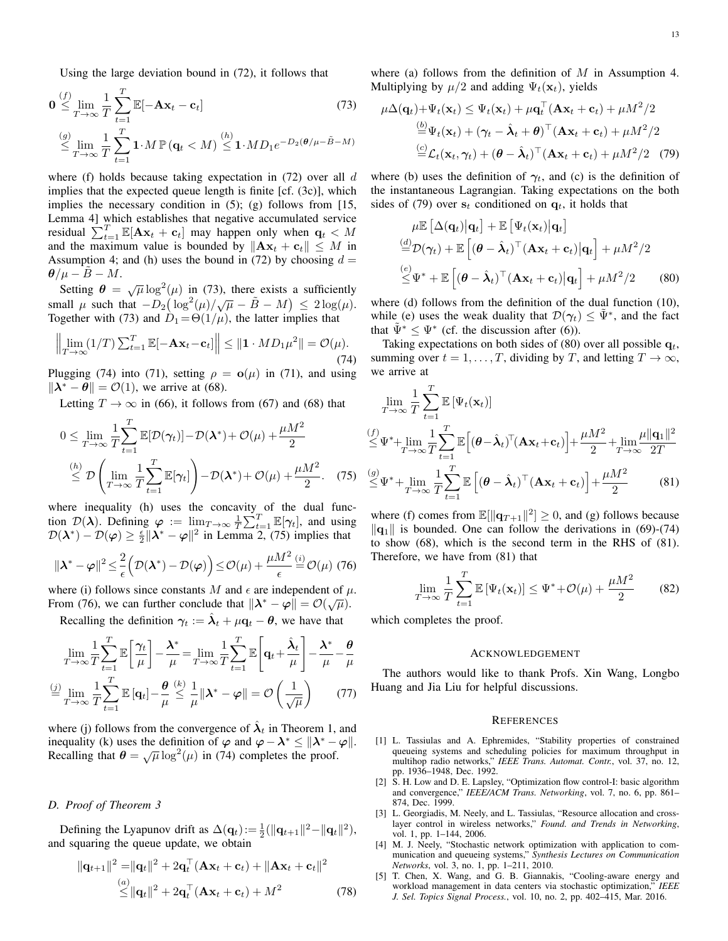Using the large deviation bound in (72), it follows that

$$
\mathbf{0} \leq \lim_{T \to \infty} \frac{1}{T} \sum_{t=1}^{T} \mathbb{E}[-\mathbf{A}\mathbf{x}_t - \mathbf{c}_t]
$$
\n
$$
\leq \lim_{T \to \infty} \frac{1}{T} \sum_{t=1}^{T} \mathbf{1} \cdot M \mathbb{P}(\mathbf{q}_t < M) \leq \mathbf{1} \cdot MD_1 e^{-D_2(\theta/\mu - \tilde{B} - M)}
$$
\n
$$
(73)
$$

where (f) holds because taking expectation in  $(72)$  over all d implies that the expected queue length is finite [cf. (3c)], which implies the necessary condition in (5); (g) follows from [15, Lemma 4] which establishes that negative accumulated service residual  $\sum_{t=1}^{T} \mathbb{E}[\mathbf{A}\mathbf{x}_t + \mathbf{c}_t]$  may happen only when  $\mathbf{q}_t < M$ and the maximum value is bounded by  $\|\mathbf{A}\mathbf{x}_t + \mathbf{c}_t\| \leq M$  in Assumption 4; and (h) uses the bound in (72) by choosing  $d =$  $\theta/\mu - \ddot{B} - M.$ 

Setting  $\theta = \sqrt{\mu} \log^2(\mu)$  in (73), there exists a sufficiently small  $\mu$  such that  $-D_2(\log^2(\mu)/\sqrt{\mu} - \tilde{B} - M) \leq 2\log(\mu)$ . Together with (73) and  $\dot{D}_1 = \Theta(1/\mu)$ , the latter implies that

$$
\left\| \lim_{T \to \infty} (1/T) \sum_{t=1}^{T} \mathbb{E}[-\mathbf{A}\mathbf{x}_t - \mathbf{c}_t] \right\| \leq \| \mathbf{1} \cdot MD_1 \mu^2 \| = \mathcal{O}(\mu). \tag{74}
$$

Plugging (74) into (71), setting  $\rho = \mathbf{o}(\mu)$  in (71), and using  $\|\lambda^* - \theta\| = \mathcal{O}(1)$ , we arrive at (68).

Letting  $T \to \infty$  in (66), it follows from (67) and (68) that

$$
0 \leq \lim_{T \to \infty} \frac{1}{T} \sum_{t=1}^{T} \mathbb{E}[\mathcal{D}(\gamma_t)] - \mathcal{D}(\boldsymbol{\lambda}^*) + \mathcal{O}(\mu) + \frac{\mu M^2}{2}
$$
  
\n
$$
\leq \mathcal{D} \left( \lim_{T \to \infty} \frac{1}{T} \sum_{t=1}^{T} \mathbb{E}[\gamma_t] \right) - \mathcal{D}(\boldsymbol{\lambda}^*) + \mathcal{O}(\mu) + \frac{\mu M^2}{2}.
$$
 (75)

where inequality (h) uses the concavity of the dual function  $\mathcal{D}(\lambda)$ . Defining  $\varphi := \lim_{n \to \infty} \frac{1}{T} \sum_{t=1}^{T} \mathbb{E}[\gamma_t]$ , and using  $\mathcal{D}(\lambda^*) - \mathcal{D}(\varphi) \ge \frac{\epsilon}{2} \|\lambda^* - \varphi\|^2$  in Lemma 2, (75) implies that

$$
\|\boldsymbol{\lambda}^* - \boldsymbol{\varphi}\|^2 \le \frac{2}{\epsilon} \left(\mathcal{D}(\boldsymbol{\lambda}^*) - \mathcal{D}(\boldsymbol{\varphi})\right) \le \mathcal{O}(\mu) + \frac{\mu M^2}{\epsilon} \stackrel{(i)}{=} \mathcal{O}(\mu) \tag{76}
$$

where (i) follows since constants M and  $\epsilon$  are independent of  $\mu$ . From (76), we can further conclude that  $\|\lambda^* - \varphi\| = O(\sqrt{\mu}).$ 

Recalling the definition  $\gamma_t := \hat{\lambda}_t + \mu \mathbf{q}_t - \theta$ , we have that

$$
\lim_{T \to \infty} \frac{1}{T} \sum_{t=1}^{T} \mathbb{E} \left[ \frac{\gamma_t}{\mu} \right] - \frac{\lambda^*}{\mu} = \lim_{T \to \infty} \frac{1}{T} \sum_{t=1}^{T} \mathbb{E} \left[ \mathbf{q}_t + \frac{\hat{\lambda}_t}{\mu} \right] - \frac{\lambda^*}{\mu} - \frac{\theta}{\mu}
$$
\n
$$
\stackrel{\text{(j)}}{=} \lim_{T \to \infty} \frac{1}{T} \sum_{t=1}^{T} \mathbb{E} \left[ \mathbf{q}_t \right] - \frac{\theta}{\mu} \stackrel{\text{(k)}}{\leq} \frac{1}{\mu} \|\lambda^* - \varphi\| = \mathcal{O}\left( \frac{1}{\sqrt{\mu}} \right) \tag{77}
$$

where (j) follows from the convergence of  $\hat{\lambda}_t$  in Theorem 1, and inequality (k) uses the definition of  $\varphi$  and  $\varphi - \lambda^* \le ||\lambda^* - \varphi||$ . Recalling that  $\theta = \sqrt{\mu} \log^2(\mu)$  in (74) completes the proof.

# *D. Proof of Theorem 3*

Defining the Lyapunov drift as  $\Delta(\mathbf{q}_t) := \frac{1}{2}(\|\mathbf{q}_{t+1}\|^2 - \|\mathbf{q}_t\|^2)$ , and squaring the queue update, we obtain

$$
\|\mathbf{q}_{t+1}\|^2 = \|\mathbf{q}_t\|^2 + 2\mathbf{q}_t^\top (\mathbf{A}\mathbf{x}_t + \mathbf{c}_t) + \|\mathbf{A}\mathbf{x}_t + \mathbf{c}_t\|^2
$$
  
\n
$$
\leq \|\mathbf{q}_t\|^2 + 2\mathbf{q}_t^\top (\mathbf{A}\mathbf{x}_t + \mathbf{c}_t) + M^2
$$
\n(78)

where (a) follows from the definition of  $M$  in Assumption 4. Multiplying by  $\mu/2$  and adding  $\Psi_t(\mathbf{x}_t)$ , yields

$$
\mu \Delta(\mathbf{q}_t) + \Psi_t(\mathbf{x}_t) \le \Psi_t(\mathbf{x}_t) + \mu \mathbf{q}_t^\top (\mathbf{A}\mathbf{x}_t + \mathbf{c}_t) + \mu M^2 / 2
$$
  
\n
$$
\stackrel{(b)}{=} \Psi_t(\mathbf{x}_t) + (\gamma_t - \hat{\lambda}_t + \theta)^\top (\mathbf{A}\mathbf{x}_t + \mathbf{c}_t) + \mu M^2 / 2
$$
  
\n
$$
\stackrel{(c)}{=} \mathcal{L}_t(\mathbf{x}_t, \gamma_t) + (\theta - \hat{\lambda}_t)^\top (\mathbf{A}\mathbf{x}_t + \mathbf{c}_t) + \mu M^2 / 2 \tag{79}
$$

where (b) uses the definition of  $\gamma_t$ , and (c) is the definition of the instantaneous Lagrangian. Taking expectations on the both sides of (79) over  $s_t$  conditioned on  $q_t$ , it holds that

$$
\mu \mathbb{E} \left[ \Delta(\mathbf{q}_t) \middle| \mathbf{q}_t \right] + \mathbb{E} \left[ \Psi_t(\mathbf{x}_t) \middle| \mathbf{q}_t \right] \n\stackrel{(d)}{=} \mathcal{D}(\gamma_t) + \mathbb{E} \left[ (\boldsymbol{\theta} - \hat{\boldsymbol{\lambda}}_t)^\top (\mathbf{A} \mathbf{x}_t + \mathbf{c}_t) \middle| \mathbf{q}_t \right] + \mu M^2 / 2 \n\stackrel{(e)}{\leq} \Psi^* + \mathbb{E} \left[ (\boldsymbol{\theta} - \hat{\boldsymbol{\lambda}}_t)^\top (\mathbf{A} \mathbf{x}_t + \mathbf{c}_t) \middle| \mathbf{q}_t \right] + \mu M^2 / 2 \tag{80}
$$

where (d) follows from the definition of the dual function (10), while (e) uses the weak duality that  $\mathcal{D}(\gamma_t) \leq \tilde{\Psi}^*$ , and the fact that  $\tilde{\Psi}^* \leq \Psi^*$  (cf. the discussion after (6)).

Taking expectations on both sides of (80) over all possible  $q_t$ , summing over  $t = 1, \ldots, T$ , dividing by T, and letting  $T \to \infty$ , we arrive at

$$
\lim_{T \to \infty} \frac{1}{T} \sum_{t=1}^{T} \mathbb{E} \left[ \Psi_t(\mathbf{x}_t) \right]
$$
\n
$$
\leq \Psi^* + \lim_{T \to \infty} \frac{1}{T} \sum_{t=1}^{T} \mathbb{E} \left[ (\boldsymbol{\theta} - \hat{\boldsymbol{\lambda}}_t)^T (\mathbf{A} \mathbf{x}_t + \mathbf{c}_t) \right] + \frac{\mu M^2}{2} + \lim_{T \to \infty} \frac{\mu ||\mathbf{q}_1||^2}{2T}
$$
\n
$$
\leq \Psi^* + \lim_{T \to \infty} \frac{1}{T} \sum_{t=1}^{T} \mathbb{E} \left[ (\boldsymbol{\theta} - \hat{\boldsymbol{\lambda}}_t)^T (\mathbf{A} \mathbf{x}_t + \mathbf{c}_t) \right] + \frac{\mu M^2}{2} \tag{81}
$$

where (f) comes from  $\mathbb{E}[\|\mathbf{q}_{T+1}\|^2] \ge 0$ , and (g) follows because  $\|\mathbf{q}_1\|$  is bounded. One can follow the derivations in (69)-(74) to show (68), which is the second term in the RHS of (81). Therefore, we have from (81) that

$$
\lim_{T \to \infty} \frac{1}{T} \sum_{t=1}^{T} \mathbb{E} \left[ \Psi_t(\mathbf{x}_t) \right] \le \Psi^* + \mathcal{O}(\mu) + \frac{\mu M^2}{2} \tag{82}
$$

which completes the proof.

## ACKNOWLEDGEMENT

The authors would like to thank Profs. Xin Wang, Longbo Huang and Jia Liu for helpful discussions.

#### **REFERENCES**

- [1] L. Tassiulas and A. Ephremides, "Stability properties of constrained queueing systems and scheduling policies for maximum throughput in multihop radio networks," *IEEE Trans. Automat. Contr.*, vol. 37, no. 12, pp. 1936–1948, Dec. 1992.
- [2] S. H. Low and D. E. Lapsley, "Optimization flow control-I: basic algorithm and convergence," *IEEE/ACM Trans. Networking*, vol. 7, no. 6, pp. 861– 874, Dec. 1999.
- [3] L. Georgiadis, M. Neely, and L. Tassiulas, "Resource allocation and crosslayer control in wireless networks," *Found. and Trends in Networking*, vol. 1, pp. 1-144, 2006.
- [4] M. J. Neely, "Stochastic network optimization with application to communication and queueing systems," *Synthesis Lectures on Communication Networks*, vol. 3, no. 1, pp. 1–211, 2010.
- [5] T. Chen, X. Wang, and G. B. Giannakis, "Cooling-aware energy and workload management in data centers via stochastic optimization," *IEEE J. Sel. Topics Signal Process.*, vol. 10, no. 2, pp. 402–415, Mar. 2016.